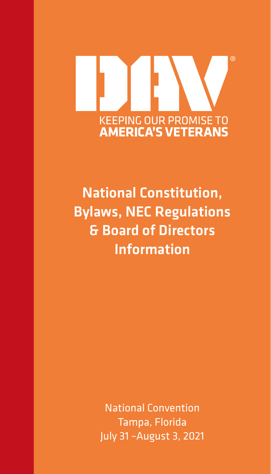# **KEEPING OUR PROMISE TO<br>AMERICA'S VETERANS**

National Constitution, Bylaws, NEC Regulations & Board of Directors Information

> National Convention Tampa, Florida July 31 –August 3, 2021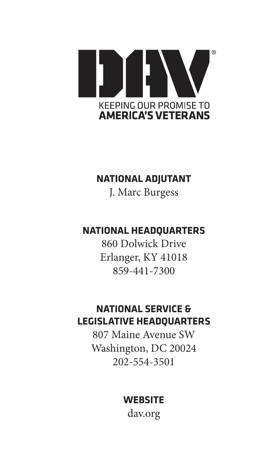

#### **NATIONAL ADJUTANT**

J. Marc Burgess

# **NATIONAL HEADQUARTERS**

860 Dolwick Drive Erlanger, KY 41018 859-441-7300

# **NATIONAL SERVICE & LEGISLATIVE HEADQUARTERS**

807 Maine Avenue SW Washington, DC 20024 202-554-3501

# **WEBSITE**

dav.org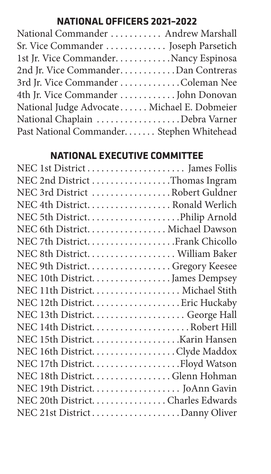# **NATIONAL OFFICERS 2021–2022**

| National Commander  Andrew Marshall         |  |
|---------------------------------------------|--|
| Sr. Vice Commander  Joseph Parsetich        |  |
| 1st Jr. Vice Commander. Nancy Espinosa      |  |
| 2nd Jr. Vice CommanderDan Contreras         |  |
| 3rd Jr. Vice Commander Coleman Nee          |  |
| 4th Jr. Vice Commander  John Donovan        |  |
| National Judge Advocate Michael E. Dobmeier |  |
| National Chaplain Debra Varner              |  |
| Past National Commander Stephen Whitehead   |  |
|                                             |  |

## **NATIONAL EXECUTIVE COMMITTEE**

| NEC 2nd District Thomas Ingram   |
|----------------------------------|
| NEC 3rd District Robert Guldner  |
| NEC 4th District. Ronald Werlich |
|                                  |
| NEC 6th District. Michael Dawson |
|                                  |
|                                  |
| NEC 9th District. Gregory Keesee |
| NEC 10th District. James Dempsey |
|                                  |
|                                  |
|                                  |
|                                  |
|                                  |
| NEC 16th District. Clyde Maddox  |
|                                  |
| NEC 18th District. Glenn Hohman  |
|                                  |
| NEC 20th DistrictCharles Edwards |
| NEC 21st District Danny Oliver   |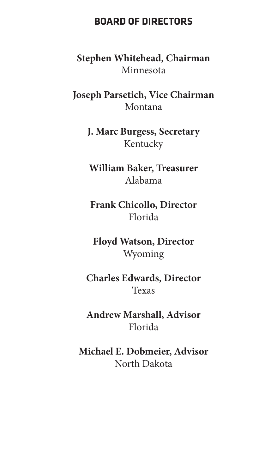#### **BOARD OF DIRECTORS**

**Stephen Whitehead, Chairman** Minnesota

**Joseph Parsetich, Vice Chairman** Montana

> **J. Marc Burgess, Secretary** Kentucky

**William Baker, Treasurer** Alabama

**Frank Chicollo, Director** Florida

**Floyd Watson, Director** Wyoming

**Charles Edwards, Director** Texas

**Andrew Marshall, Advisor** Florida

**Michael E. Dobmeier, Advisor** North Dakota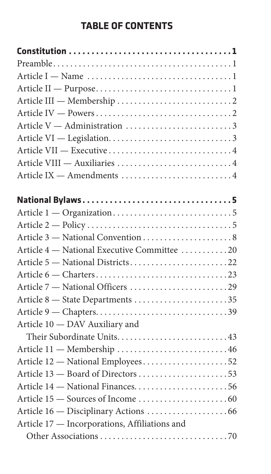# **TABLE OF CONTENTS**

| Article V — Administration 3                  |  |
|-----------------------------------------------|--|
|                                               |  |
|                                               |  |
|                                               |  |
| Article IX - Amendments 4                     |  |
|                                               |  |
| National Bylaws5                              |  |
|                                               |  |
|                                               |  |
|                                               |  |
| Article 4 - National Executive Committee 20   |  |
| Article 5 - National Districts22              |  |
|                                               |  |
|                                               |  |
| Article 8 - State Departments 35              |  |
|                                               |  |
| Article 10 - DAV Auxiliary and                |  |
| Their Subordinate Units43                     |  |
| Article 11 - Membership  46                   |  |
| Article 12 - National Employees52             |  |
| Article 13 - Board of Directors 53            |  |
| Article 14 - National Finances56              |  |
|                                               |  |
|                                               |  |
| Article 17 - Incorporations, Affiliations and |  |
|                                               |  |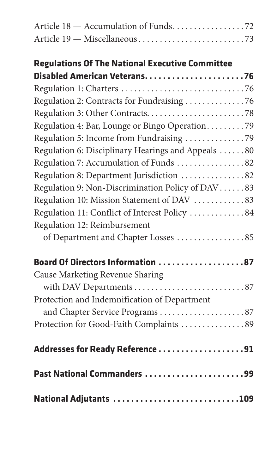| Article 18 - Accumulation of Funds72                   |
|--------------------------------------------------------|
|                                                        |
| <b>Regulations Of The National Executive Committee</b> |
|                                                        |
|                                                        |
|                                                        |
|                                                        |
| Regulation 4: Bar, Lounge or Bingo Operation79         |
| Regulation 5: Income from Fundraising 79               |
| Regulation 6: Disciplinary Hearings and Appeals 80     |
| Regulation 7: Accumulation of Funds 82                 |
| Regulation 8: Department Jurisdiction 82               |
| Regulation 9: Non-Discrimination Policy of DAV83       |
| Regulation 10: Mission Statement of DAV 83             |
| Regulation 11: Conflict of Interest Policy  84         |
| Regulation 12: Reimbursement                           |
| of Department and Chapter Losses 85                    |
| Board Of Directors Information 87                      |
| Cause Marketing Revenue Sharing                        |
|                                                        |
| Protection and Indemnification of Department           |
| and Chapter Service Programs87                         |
| Protection for Good-Faith Complaints 89                |
| Addresses for Ready Reference 91                       |
| Past National Commanders 99                            |
| National Adjutants 109                                 |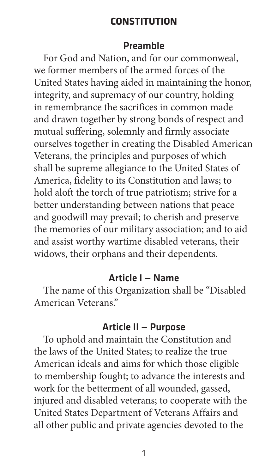#### **CONSTITUTION**

#### Preamble

<span id="page-8-0"></span>For God and Nation, and for our commonweal, we former members of the armed forces of the United States having aided in maintaining the honor, integrity, and supremacy of our country, holding in remembrance the sacrifices in common made and drawn together by strong bonds of respect and mutual suffering, solemnly and firmly associate ourselves together in creating the Disabled American Veterans, the principles and purposes of which shall be supreme allegiance to the United States of America, fidelity to its Constitution and laws; to hold aloft the torch of true patriotism; strive for a better understanding between nations that peace and goodwill may prevail; to cherish and preserve the memories of our military association; and to aid and assist worthy wartime disabled veterans, their widows, their orphans and their dependents.

#### Article I — Name

The name of this Organization shall be "Disabled American Veterans."

#### Article II — Purpose

To uphold and maintain the Constitution and the laws of the United States; to realize the true American ideals and aims for which those eligible to membership fought; to advance the interests and work for the betterment of all wounded, gassed, injured and disabled veterans; to cooperate with the United States Department of Veterans Affairs and all other public and private agencies devoted to the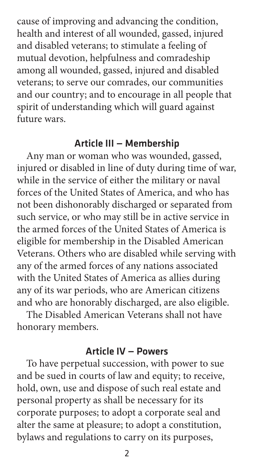<span id="page-9-0"></span>cause of improving and advancing the condition, health and interest of all wounded, gassed, injured and disabled veterans; to stimulate a feeling of mutual devotion, helpfulness and comradeship among all wounded, gassed, injured and disabled veterans; to serve our comrades, our communities and our country; and to encourage in all people that spirit of understanding which will guard against future wars.

#### Article III — Membership

Any man or woman who was wounded, gassed, injured or disabled in line of duty during time of war, while in the service of either the military or naval forces of the United States of America, and who has not been dishonorably discharged or separated from such service, or who may still be in active service in the armed forces of the United States of America is eligible for membership in the Disabled American Veterans. Others who are disabled while serving with any of the armed forces of any nations associated with the United States of America as allies during any of its war periods, who are American citizens and who are honorably discharged, are also eligible.

The Disabled American Veterans shall not have honorary members.

#### Article IV — Powers

To have perpetual succession, with power to sue and be sued in courts of law and equity; to receive, hold, own, use and dispose of such real estate and personal property as shall be necessary for its corporate purposes; to adopt a corporate seal and alter the same at pleasure; to adopt a constitution, bylaws and regulations to carry on its purposes,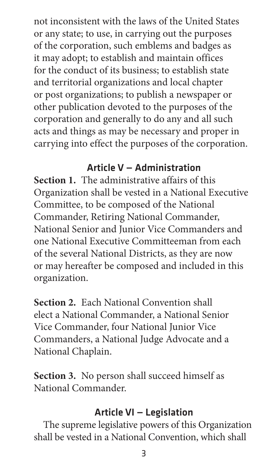<span id="page-10-0"></span>not inconsistent with the laws of the United States or any state; to use, in carrying out the purposes of the corporation, such emblems and badges as it may adopt; to establish and maintain offices for the conduct of its business; to establish state and territorial organizations and local chapter or post organizations; to publish a newspaper or other publication devoted to the purposes of the corporation and generally to do any and all such acts and things as may be necessary and proper in carrying into effect the purposes of the corporation.

# Article V — Administration

**Section 1.** The administrative affairs of this Organization shall be vested in a National Executive Committee, to be composed of the National Commander, Retiring National Commander, National Senior and Junior Vice Commanders and one National Executive Committeeman from each of the several National Districts, as they are now or may hereafter be composed and included in this organization.

**Section 2.** Each National Convention shall elect a National Commander, a National Senior Vice Commander, four National Junior Vice Commanders, a National Judge Advocate and a National Chaplain.

**Section 3.** No person shall succeed himself as National Commander.

#### Article VI — Legislation

The supreme legislative powers of this Organization shall be vested in a National Convention, which shall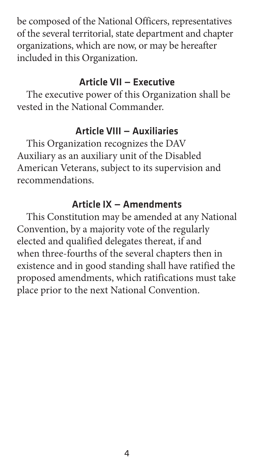<span id="page-11-0"></span>be composed of the National Officers, representatives of the several territorial, state department and chapter organizations, which are now, or may be hereafter included in this Organization.

#### Article VII — Executive

The executive power of this Organization shall be vested in the National Commander.

#### Article VIII — Auxiliaries

This Organization recognizes the DAV Auxiliary as an auxiliary unit of the Disabled American Veterans, subject to its supervision and recommendations.

#### Article IX — Amendments

This Constitution may be amended at any National Convention, by a majority vote of the regularly elected and qualified delegates thereat, if and when three-fourths of the several chapters then in existence and in good standing shall have ratified the proposed amendments, which ratifications must take place prior to the next National Convention.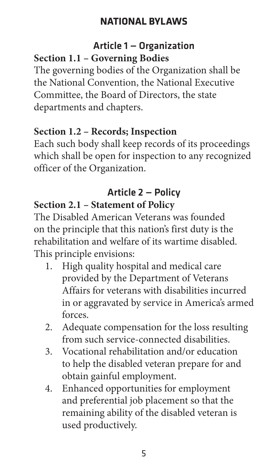#### <span id="page-12-0"></span>Article 1 — Organization **Section 1.1 – Governing Bodies**

The governing bodies of the Organization shall be the National Convention, the National Executive Committee, the Board of Directors, the state departments and chapters.

## **Section 1.2 – Records; Inspection**

Each such body shall keep records of its proceedings which shall be open for inspection to any recognized officer of the Organization.

#### Article 2 — Policy **Section 2.1 – Statement of Policy**

The Disabled American Veterans was founded on the principle that this nation's first duty is the rehabilitation and welfare of its wartime disabled. This principle envisions:

- 1. High quality hospital and medical care provided by the Department of Veterans Affairs for veterans with disabilities incurred in or aggravated by service in America's armed forces.
- 2. Adequate compensation for the loss resulting from such service-connected disabilities.
- 3. Vocational rehabilitation and/or education to help the disabled veteran prepare for and obtain gainful employment.
- 4. Enhanced opportunities for employment and preferential job placement so that the remaining ability of the disabled veteran is used productively.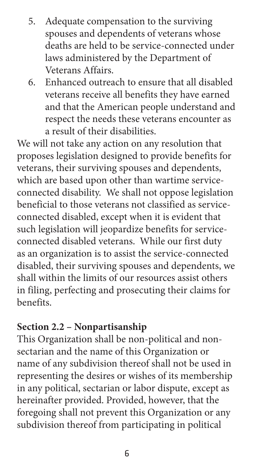- <span id="page-13-0"></span>5. Adequate compensation to the surviving spouses and dependents of veterans whose deaths are held to be service-connected under laws administered by the Department of Veterans Affairs.
- 6. Enhanced outreach to ensure that all disabled veterans receive all benefits they have earned and that the American people understand and respect the needs these veterans encounter as a result of their disabilities.

We will not take any action on any resolution that proposes legislation designed to provide benefits for veterans, their surviving spouses and dependents, which are based upon other than wartime serviceconnected disability. We shall not oppose legislation beneficial to those veterans not classified as serviceconnected disabled, except when it is evident that such legislation will jeopardize benefits for serviceconnected disabled veterans. While our first duty as an organization is to assist the service-connected disabled, their surviving spouses and dependents, we shall within the limits of our resources assist others in filing, perfecting and prosecuting their claims for benefits.

#### **Section 2.2 – Nonpartisanship**

This Organization shall be non-political and nonsectarian and the name of this Organization or name of any subdivision thereof shall not be used in representing the desires or wishes of its membership in any political, sectarian or labor dispute, except as hereinafter provided. Provided, however, that the foregoing shall not prevent this Organization or any subdivision thereof from participating in political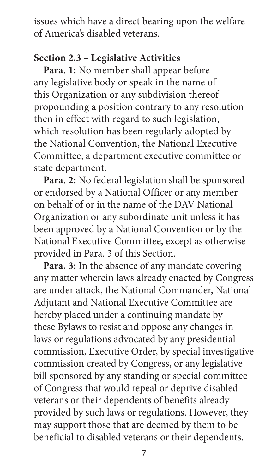issues which have a direct bearing upon the welfare of America's disabled veterans.

# **Section 2.3 – Legislative Activities**

Para. 1: No member shall appear before any legislative body or speak in the name of this Organization or any subdivision thereof propounding a position contrary to any resolution then in effect with regard to such legislation, which resolution has been regularly adopted by the National Convention, the National Executive Committee, a department executive committee or state department.

**Para. 2:** No federal legislation shall be sponsored or endorsed by a National Officer or any member on behalf of or in the name of the DAV National Organization or any subordinate unit unless it has been approved by a National Convention or by the National Executive Committee, except as otherwise provided in Para. 3 of this Section.

**Para. 3:** In the absence of any mandate covering any matter wherein laws already enacted by Congress are under attack, the National Commander, National Adjutant and National Executive Committee are hereby placed under a continuing mandate by these Bylaws to resist and oppose any changes in laws or regulations advocated by any presidential commission, Executive Order, by special investigative commission created by Congress, or any legislative bill sponsored by any standing or special committee of Congress that would repeal or deprive disabled veterans or their dependents of benefits already provided by such laws or regulations. However, they may support those that are deemed by them to be beneficial to disabled veterans or their dependents.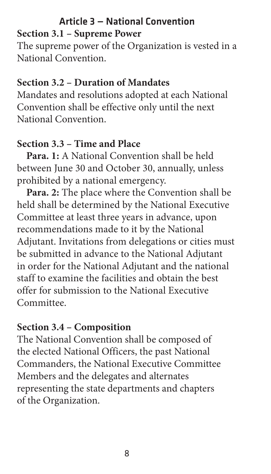#### Article 3 — National Convention **Section 3.1 – Supreme Power**

The supreme power of the Organization is vested in a National Convention.

## **Section 3.2 – Duration of Mandates**

Mandates and resolutions adopted at each National Convention shall be effective only until the next National Convention.

## **Section 3.3 – Time and Place**

**Para. 1:** A National Convention shall be held between June 30 and October 30, annually, unless prohibited by a national emergency.

**Para. 2:** The place where the Convention shall be held shall be determined by the National Executive Committee at least three years in advance, upon recommendations made to it by the National Adjutant. Invitations from delegations or cities must be submitted in advance to the National Adjutant in order for the National Adjutant and the national staff to examine the facilities and obtain the best offer for submission to the National Executive Committee.

# **Section 3.4 – Composition**

The National Convention shall be composed of the elected National Officers, the past National Commanders, the National Executive Committee Members and the delegates and alternates representing the state departments and chapters of the Organization.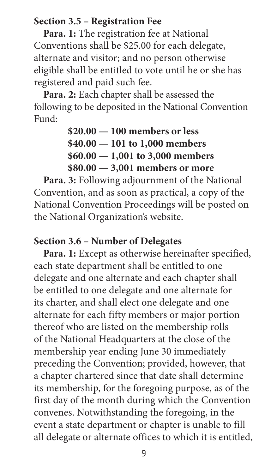#### **Section 3.5 – Registration Fee**

Para. 1: The registration fee at National Conventions shall be \$25.00 for each delegate, alternate and visitor; and no person otherwise eligible shall be entitled to vote until he or she has registered and paid such fee.

**Para. 2:** Each chapter shall be assessed the following to be deposited in the National Convention Fund:

> **\$20.00 — 100 members or less \$40.00 — 101 to 1,000 members \$60.00 — 1,001 to 3,000 members \$80.00 — 3,001 members or more**

**Para. 3:** Following adjournment of the National Convention, and as soon as practical, a copy of the National Convention Proceedings will be posted on the National Organization's website.

#### **Section 3.6 – Number of Delegates**

Para. 1: Except as otherwise hereinafter specified, each state department shall be entitled to one delegate and one alternate and each chapter shall be entitled to one delegate and one alternate for its charter, and shall elect one delegate and one alternate for each fifty members or major portion thereof who are listed on the membership rolls of the National Headquarters at the close of the membership year ending June 30 immediately preceding the Convention; provided, however, that a chapter chartered since that date shall determine its membership, for the foregoing purpose, as of the first day of the month during which the Convention convenes. Notwithstanding the foregoing, in the event a state department or chapter is unable to fill all delegate or alternate offices to which it is entitled,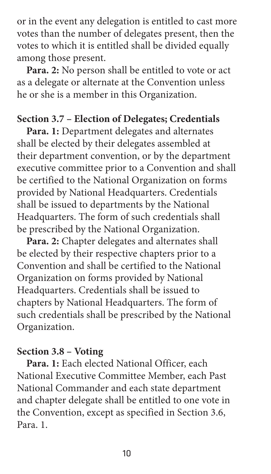or in the event any delegation is entitled to cast more votes than the number of delegates present, then the votes to which it is entitled shall be divided equally among those present.

**Para. 2:** No person shall be entitled to vote or act as a delegate or alternate at the Convention unless he or she is a member in this Organization.

#### **Section 3.7 – Election of Delegates; Credentials**

**Para. 1:** Department delegates and alternates shall be elected by their delegates assembled at their department convention, or by the department executive committee prior to a Convention and shall be certified to the National Organization on forms provided by National Headquarters. Credentials shall be issued to departments by the National Headquarters. The form of such credentials shall be prescribed by the National Organization.

**Para. 2:** Chapter delegates and alternates shall be elected by their respective chapters prior to a Convention and shall be certified to the National Organization on forms provided by National Headquarters. Credentials shall be issued to chapters by National Headquarters. The form of such credentials shall be prescribed by the National Organization.

#### **Section 3.8 – Voting**

**Para. 1:** Each elected National Officer, each National Executive Committee Member, each Past National Commander and each state department and chapter delegate shall be entitled to one vote in the Convention, except as specified in Section 3.6, Para. 1.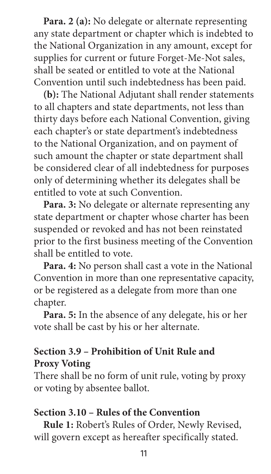**Para. 2 (a):** No delegate or alternate representing any state department or chapter which is indebted to the National Organization in any amount, except for supplies for current or future Forget-Me-Not sales, shall be seated or entitled to vote at the National Convention until such indebtedness has been paid.

**(b):** The National Adjutant shall render statements to all chapters and state departments, not less than thirty days before each National Convention, giving each chapter's or state department's indebtedness to the National Organization, and on payment of such amount the chapter or state department shall be considered clear of all indebtedness for purposes only of determining whether its delegates shall be entitled to vote at such Convention.

**Para. 3:** No delegate or alternate representing any state department or chapter whose charter has been suspended or revoked and has not been reinstated prior to the first business meeting of the Convention shall be entitled to vote.

**Para. 4:** No person shall cast a vote in the National Convention in more than one representative capacity, or be registered as a delegate from more than one chapter.

**Para. 5:** In the absence of any delegate, his or her vote shall be cast by his or her alternate.

## **Section 3.9 – Prohibition of Unit Rule and Proxy Voting**

There shall be no form of unit rule, voting by proxy or voting by absentee ballot.

#### **Section 3.10 – Rules of the Convention**

**Rule 1:** Robert's Rules of Order, Newly Revised, will govern except as hereafter specifically stated.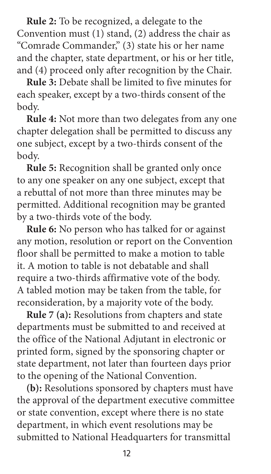**Rule 2:** To be recognized, a delegate to the Convention must (1) stand, (2) address the chair as "Comrade Commander," (3) state his or her name and the chapter, state department, or his or her title, and (4) proceed only after recognition by the Chair.

**Rule 3:** Debate shall be limited to five minutes for each speaker, except by a two-thirds consent of the body.

**Rule 4:** Not more than two delegates from any one chapter delegation shall be permitted to discuss any one subject, except by a two-thirds consent of the body.

**Rule 5:** Recognition shall be granted only once to any one speaker on any one subject, except that a rebuttal of not more than three minutes may be permitted. Additional recognition may be granted by a two-thirds vote of the body.

**Rule 6:** No person who has talked for or against any motion, resolution or report on the Convention floor shall be permitted to make a motion to table it. A motion to table is not debatable and shall require a two-thirds affirmative vote of the body. A tabled motion may be taken from the table, for reconsideration, by a majority vote of the body.

**Rule 7 (a):** Resolutions from chapters and state departments must be submitted to and received at the office of the National Adjutant in electronic or printed form, signed by the sponsoring chapter or state department, not later than fourteen days prior to the opening of the National Convention.

**(b):** Resolutions sponsored by chapters must have the approval of the department executive committee or state convention, except where there is no state department, in which event resolutions may be submitted to National Headquarters for transmittal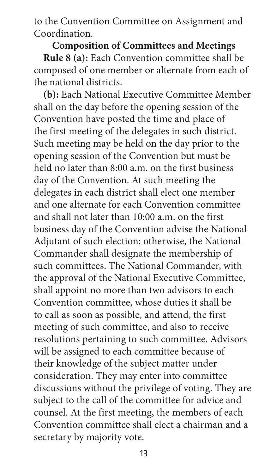to the Convention Committee on Assignment and Coordination.

**Composition of Committees and Meetings Rule 8 (a):** Each Convention committee shall be composed of one member or alternate from each of the national districts.

**(b):** Each National Executive Committee Member shall on the day before the opening session of the Convention have posted the time and place of the first meeting of the delegates in such district. Such meeting may be held on the day prior to the opening session of the Convention but must be held no later than 8:00 a.m. on the first business day of the Convention. At such meeting the delegates in each district shall elect one member and one alternate for each Convention committee and shall not later than 10:00 a.m. on the first business day of the Convention advise the National Adjutant of such election; otherwise, the National Commander shall designate the membership of such committees. The National Commander, with the approval of the National Executive Committee, shall appoint no more than two advisors to each Convention committee, whose duties it shall be to call as soon as possible, and attend, the first meeting of such committee, and also to receive resolutions pertaining to such committee. Advisors will be assigned to each committee because of their knowledge of the subject matter under consideration. They may enter into committee discussions without the privilege of voting. They are subject to the call of the committee for advice and counsel. At the first meeting, the members of each Convention committee shall elect a chairman and a secretary by majority vote.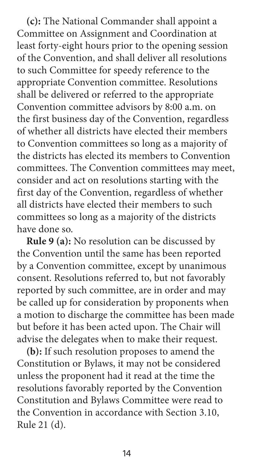**(c):** The National Commander shall appoint a Committee on Assignment and Coordination at least forty-eight hours prior to the opening session of the Convention, and shall deliver all resolutions to such Committee for speedy reference to the appropriate Convention committee. Resolutions shall be delivered or referred to the appropriate Convention committee advisors by 8:00 a.m. on the first business day of the Convention, regardless of whether all districts have elected their members to Convention committees so long as a majority of the districts has elected its members to Convention committees. The Convention committees may meet, consider and act on resolutions starting with the first day of the Convention, regardless of whether all districts have elected their members to such committees so long as a majority of the districts have done so.

**Rule 9 (a):** No resolution can be discussed by the Convention until the same has been reported by a Convention committee, except by unanimous consent. Resolutions referred to, but not favorably reported by such committee, are in order and may be called up for consideration by proponents when a motion to discharge the committee has been made but before it has been acted upon. The Chair will advise the delegates when to make their request.

**(b):** If such resolution proposes to amend the Constitution or Bylaws, it may not be considered unless the proponent had it read at the time the resolutions favorably reported by the Convention Constitution and Bylaws Committee were read to the Convention in accordance with Section 3.10, Rule 21 (d).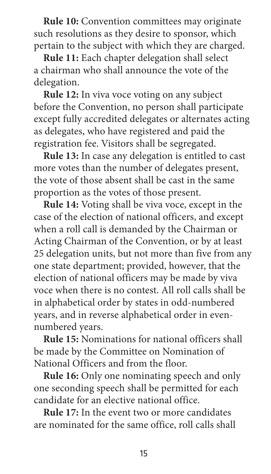**Rule 10:** Convention committees may originate such resolutions as they desire to sponsor, which pertain to the subject with which they are charged.

**Rule 11:** Each chapter delegation shall select a chairman who shall announce the vote of the delegation.

**Rule 12:** In viva voce voting on any subject before the Convention, no person shall participate except fully accredited delegates or alternates acting as delegates, who have registered and paid the registration fee. Visitors shall be segregated.

**Rule 13:** In case any delegation is entitled to cast more votes than the number of delegates present, the vote of those absent shall be cast in the same proportion as the votes of those present.

**Rule 14:** Voting shall be viva voce, except in the case of the election of national officers, and except when a roll call is demanded by the Chairman or Acting Chairman of the Convention, or by at least 25 delegation units, but not more than five from any one state department; provided, however, that the election of national officers may be made by viva voce when there is no contest. All roll calls shall be in alphabetical order by states in odd-numbered years, and in reverse alphabetical order in evennumbered years.

**Rule 15:** Nominations for national officers shall be made by the Committee on Nomination of National Officers and from the floor.

**Rule 16:** Only one nominating speech and only one seconding speech shall be permitted for each candidate for an elective national office.

**Rule 17:** In the event two or more candidates are nominated for the same office, roll calls shall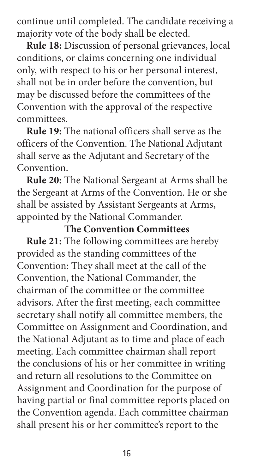continue until completed. The candidate receiving a majority vote of the body shall be elected.

**Rule 18:** Discussion of personal grievances, local conditions, or claims concerning one individual only, with respect to his or her personal interest, shall not be in order before the convention, but may be discussed before the committees of the Convention with the approval of the respective committees.

**Rule 19:** The national officers shall serve as the officers of the Convention. The National Adjutant shall serve as the Adjutant and Secretary of the Convention.

**Rule 20:** The National Sergeant at Arms shall be the Sergeant at Arms of the Convention. He or she shall be assisted by Assistant Sergeants at Arms, appointed by the National Commander.

# **The Convention Committees**

**Rule 21:** The following committees are hereby provided as the standing committees of the Convention: They shall meet at the call of the Convention, the National Commander, the chairman of the committee or the committee advisors. After the first meeting, each committee secretary shall notify all committee members, the Committee on Assignment and Coordination, and the National Adjutant as to time and place of each meeting. Each committee chairman shall report the conclusions of his or her committee in writing and return all resolutions to the Committee on Assignment and Coordination for the purpose of having partial or final committee reports placed on the Convention agenda. Each committee chairman shall present his or her committee's report to the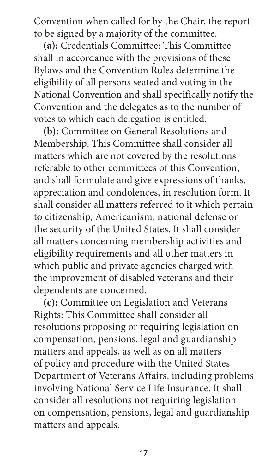Convention when called for by the Chair, the report to be signed by a majority of the committee.

**(a):** Credentials Committee: This Committee shall in accordance with the provisions of these Bylaws and the Convention Rules determine the eligibility of all persons seated and voting in the National Convention and shall specifically notify the Convention and the delegates as to the number of votes to which each delegation is entitled.

**(b):** Committee on General Resolutions and Membership: This Committee shall consider all matters which are not covered by the resolutions referable to other committees of this Convention, and shall formulate and give expressions of thanks, appreciation and condolences, in resolution form. It shall consider all matters referred to it which pertain to citizenship, Americanism, national defense or the security of the United States. It shall consider all matters concerning membership activities and eligibility requirements and all other matters in which public and private agencies charged with the improvement of disabled veterans and their dependents are concerned.

**(c):** Committee on Legislation and Veterans Rights: This Committee shall consider all resolutions proposing or requiring legislation on compensation, pensions, legal and guardianship matters and appeals, as well as on all matters of policy and procedure with the United States Department of Veterans Affairs, including problems involving National Service Life Insurance. It shall consider all resolutions not requiring legislation on compensation, pensions, legal and guardianship matters and appeals.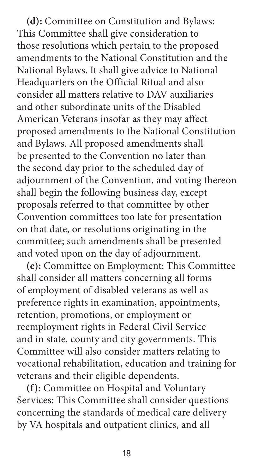**(d):** Committee on Constitution and Bylaws: This Committee shall give consideration to those resolutions which pertain to the proposed amendments to the National Constitution and the National Bylaws. It shall give advice to National Headquarters on the Official Ritual and also consider all matters relative to DAV auxiliaries and other subordinate units of the Disabled American Veterans insofar as they may affect proposed amendments to the National Constitution and Bylaws. All proposed amendments shall be presented to the Convention no later than the second day prior to the scheduled day of adjournment of the Convention, and voting thereon shall begin the following business day, except proposals referred to that committee by other Convention committees too late for presentation on that date, or resolutions originating in the committee; such amendments shall be presented and voted upon on the day of adjournment.

**(e):** Committee on Employment: This Committee shall consider all matters concerning all forms of employment of disabled veterans as well as preference rights in examination, appointments, retention, promotions, or employment or reemployment rights in Federal Civil Service and in state, county and city governments. This Committee will also consider matters relating to vocational rehabilitation, education and training for veterans and their eligible dependents.

**(f):** Committee on Hospital and Voluntary Services: This Committee shall consider questions concerning the standards of medical care delivery by VA hospitals and outpatient clinics, and all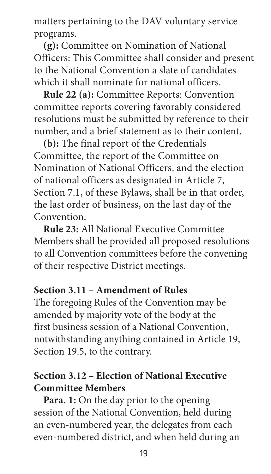<span id="page-26-0"></span>matters pertaining to the DAV voluntary service programs.

**(g):** Committee on Nomination of National Officers: This Committee shall consider and present to the National Convention a slate of candidates which it shall nominate for national officers.

**Rule 22 (a):** Committee Reports: Convention committee reports covering favorably considered resolutions must be submitted by reference to their number, and a brief statement as to their content.

**(b):** The final report of the Credentials Committee, the report of the Committee on Nomination of National Officers, and the election of national officers as designated in Article 7, Section 7.1, of these Bylaws, shall be in that order, the last order of business, on the last day of the Convention.

**Rule 23:** All National Executive Committee Members shall be provided all proposed resolutions to all Convention committees before the convening of their respective District meetings.

#### **Section 3.11 – Amendment of Rules**

The foregoing Rules of the Convention may be amended by majority vote of the body at the first business session of a National Convention, notwithstanding anything contained in Article 19, Section 19.5, to the contrary.

# **Section 3.12 – Election of National Executive Committee Members**

**Para. 1:** On the day prior to the opening session of the National Convention, held during an even-numbered year, the delegates from each even-numbered district, and when held during an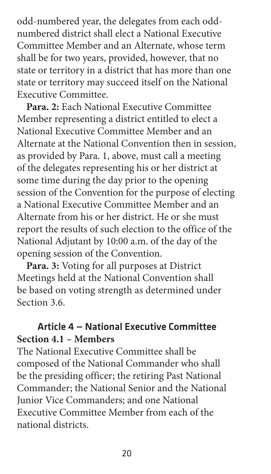<span id="page-27-0"></span>odd-numbered year, the delegates from each oddnumbered district shall elect a National Executive Committee Member and an Alternate, whose term shall be for two years, provided, however, that no state or territory in a district that has more than one state or territory may succeed itself on the National Executive Committee.

**Para. 2:** Each National Executive Committee Member representing a district entitled to elect a National Executive Committee Member and an Alternate at the National Convention then in session, as provided by Para. 1, above, must call a meeting of the delegates representing his or her district at some time during the day prior to the opening session of the Convention for the purpose of electing a National Executive Committee Member and an Alternate from his or her district. He or she must report the results of such election to the office of the National Adjutant by 10:00 a.m. of the day of the opening session of the Convention.

**Para. 3:** Voting for all purposes at District Meetings held at the National Convention shall be based on voting strength as determined under Section 3.6

# Article 4 — National Executive Committee **Section 4.1 – Members**

The National Executive Committee shall be composed of the National Commander who shall be the presiding officer; the retiring Past National Commander; the National Senior and the National Junior Vice Commanders; and one National Executive Committee Member from each of the national districts.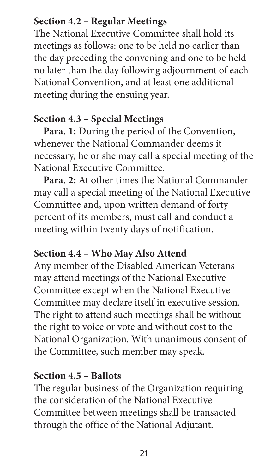## **Section 4.2 – Regular Meetings**

The National Executive Committee shall hold its meetings as follows: one to be held no earlier than the day preceding the convening and one to be held no later than the day following adjournment of each National Convention, and at least one additional meeting during the ensuing year.

# **Section 4.3 – Special Meetings**

**Para. 1:** During the period of the Convention, whenever the National Commander deems it necessary, he or she may call a special meeting of the National Executive Committee.

**Para. 2:** At other times the National Commander may call a special meeting of the National Executive Committee and, upon written demand of forty percent of its members, must call and conduct a meeting within twenty days of notification.

# **Section 4.4 – Who May Also Attend**

Any member of the Disabled American Veterans may attend meetings of the National Executive Committee except when the National Executive Committee may declare itself in executive session. The right to attend such meetings shall be without the right to voice or vote and without cost to the National Organization. With unanimous consent of the Committee, such member may speak.

# **Section 4.5 – Ballots**

The regular business of the Organization requiring the consideration of the National Executive Committee between meetings shall be transacted through the office of the National Adjutant.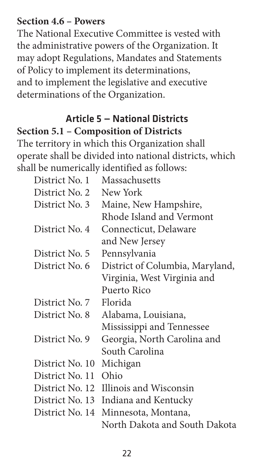#### <span id="page-29-0"></span>**Section 4.6 – Powers**

The National Executive Committee is vested with the administrative powers of the Organization. It may adopt Regulations, Mandates and Statements of Policy to implement its determinations, and to implement the legislative and executive determinations of the Organization.

# Article 5 — National Districts **Section 5.1 – Composition of Districts**

The territory in which this Organization shall operate shall be divided into national districts, which shall be numerically identified as follows:

| District No. 1  | Massachusetts                          |
|-----------------|----------------------------------------|
| District No. 2  | New York                               |
| District No. 3  | Maine, New Hampshire,                  |
|                 | Rhode Island and Vermont               |
| District No. 4  | Connecticut, Delaware                  |
|                 | and New Jersey                         |
| District No. 5  | Pennsylvania                           |
| District No. 6  | District of Columbia, Maryland,        |
|                 | Virginia, West Virginia and            |
|                 | Puerto Rico                            |
| District No. 7  | Florida                                |
| District No. 8  | Alabama, Louisiana,                    |
|                 | Mississippi and Tennessee              |
| District No. 9  | Georgia, North Carolina and            |
|                 | South Carolina                         |
| District No. 10 | Michigan                               |
| District No. 11 | Ohio                                   |
|                 | District No. 12 Illinois and Wisconsin |
| District No. 13 | Indiana and Kentucky                   |
| District No. 14 | Minnesota, Montana,                    |
|                 | North Dakota and South Dakota          |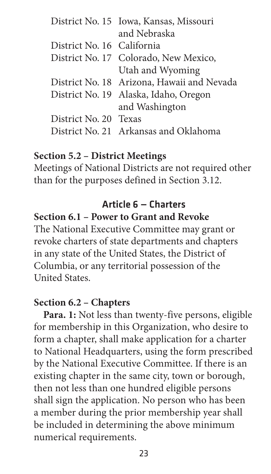|                            | District No. 15 Iowa, Kansas, Missouri     |
|----------------------------|--------------------------------------------|
|                            | and Nebraska                               |
| District No. 16 California |                                            |
|                            | District No. 17 Colorado, New Mexico,      |
|                            | Utah and Wyoming                           |
|                            | District No. 18 Arizona, Hawaii and Nevada |
|                            | District No. 19 Alaska, Idaho, Oregon      |
|                            | and Washington                             |
| District No. 20 Texas      |                                            |
|                            | District No. 21 Arkansas and Oklahoma      |
|                            |                                            |

#### **Section 5.2 – District Meetings**

Meetings of National Districts are not required other than for the purposes defined in Section 3.12.

# Article 6 — Charters

## **Section 6.1 – Power to Grant and Revoke**

The National Executive Committee may grant or revoke charters of state departments and chapters in any state of the United States, the District of Columbia, or any territorial possession of the United States.

#### **Section 6.2 – Chapters**

**Para. 1:** Not less than twenty-five persons, eligible for membership in this Organization, who desire to form a chapter, shall make application for a charter to National Headquarters, using the form prescribed by the National Executive Committee. If there is an existing chapter in the same city, town or borough, then not less than one hundred eligible persons shall sign the application. No person who has been a member during the prior membership year shall be included in determining the above minimum numerical requirements.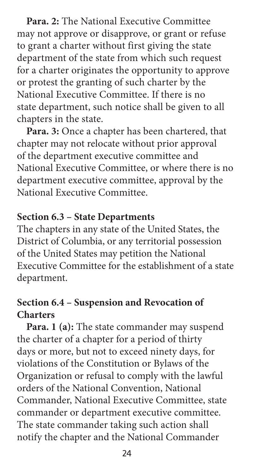**Para. 2:** The National Executive Committee may not approve or disapprove, or grant or refuse to grant a charter without first giving the state department of the state from which such request for a charter originates the opportunity to approve or protest the granting of such charter by the National Executive Committee. If there is no state department, such notice shall be given to all chapters in the state.

**Para. 3:** Once a chapter has been chartered, that chapter may not relocate without prior approval of the department executive committee and National Executive Committee, or where there is no department executive committee, approval by the National Executive Committee.

#### **Section 6.3 – State Departments**

The chapters in any state of the United States, the District of Columbia, or any territorial possession of the United States may petition the National Executive Committee for the establishment of a state department.

#### **Section 6.4 – Suspension and Revocation of Charters**

**Para. 1 (a):** The state commander may suspend the charter of a chapter for a period of thirty days or more, but not to exceed ninety days, for violations of the Constitution or Bylaws of the Organization or refusal to comply with the lawful orders of the National Convention, National Commander, National Executive Committee, state commander or department executive committee. The state commander taking such action shall notify the chapter and the National Commander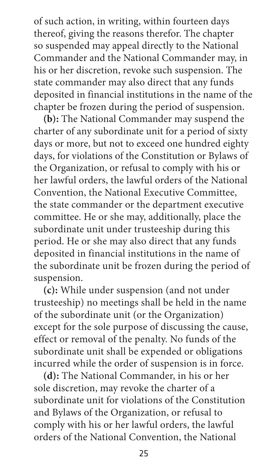of such action, in writing, within fourteen days thereof, giving the reasons therefor. The chapter so suspended may appeal directly to the National Commander and the National Commander may, in his or her discretion, revoke such suspension. The state commander may also direct that any funds deposited in financial institutions in the name of the chapter be frozen during the period of suspension.

**(b):** The National Commander may suspend the charter of any subordinate unit for a period of sixty days or more, but not to exceed one hundred eighty days, for violations of the Constitution or Bylaws of the Organization, or refusal to comply with his or her lawful orders, the lawful orders of the National Convention, the National Executive Committee, the state commander or the department executive committee. He or she may, additionally, place the subordinate unit under trusteeship during this period. He or she may also direct that any funds deposited in financial institutions in the name of the subordinate unit be frozen during the period of suspension.

**(c):** While under suspension (and not under trusteeship) no meetings shall be held in the name of the subordinate unit (or the Organization) except for the sole purpose of discussing the cause, effect or removal of the penalty. No funds of the subordinate unit shall be expended or obligations incurred while the order of suspension is in force.

**(d):** The National Commander, in his or her sole discretion, may revoke the charter of a subordinate unit for violations of the Constitution and Bylaws of the Organization, or refusal to comply with his or her lawful orders, the lawful orders of the National Convention, the National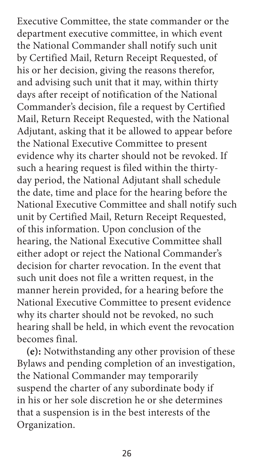Executive Committee, the state commander or the department executive committee, in which event the National Commander shall notify such unit by Certified Mail, Return Receipt Requested, of his or her decision, giving the reasons therefor, and advising such unit that it may, within thirty days after receipt of notification of the National Commander's decision, file a request by Certified Mail, Return Receipt Requested, with the National Adjutant, asking that it be allowed to appear before the National Executive Committee to present evidence why its charter should not be revoked. If such a hearing request is filed within the thirtyday period, the National Adjutant shall schedule the date, time and place for the hearing before the National Executive Committee and shall notify such unit by Certified Mail, Return Receipt Requested, of this information. Upon conclusion of the hearing, the National Executive Committee shall either adopt or reject the National Commander's decision for charter revocation. In the event that such unit does not file a written request, in the manner herein provided, for a hearing before the National Executive Committee to present evidence why its charter should not be revoked, no such hearing shall be held, in which event the revocation becomes final.

**(e):** Notwithstanding any other provision of these Bylaws and pending completion of an investigation, the National Commander may temporarily suspend the charter of any subordinate body if in his or her sole discretion he or she determines that a suspension is in the best interests of the Organization.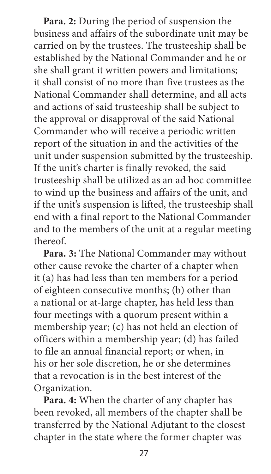**Para. 2:** During the period of suspension the business and affairs of the subordinate unit may be carried on by the trustees. The trusteeship shall be established by the National Commander and he or she shall grant it written powers and limitations; it shall consist of no more than five trustees as the National Commander shall determine, and all acts and actions of said trusteeship shall be subject to the approval or disapproval of the said National Commander who will receive a periodic written report of the situation in and the activities of the unit under suspension submitted by the trusteeship. If the unit's charter is finally revoked, the said trusteeship shall be utilized as an ad hoc committee to wind up the business and affairs of the unit, and if the unit's suspension is lifted, the trusteeship shall end with a final report to the National Commander and to the members of the unit at a regular meeting thereof.

**Para. 3:** The National Commander may without other cause revoke the charter of a chapter when it (a) has had less than ten members for a period of eighteen consecutive months; (b) other than a national or at-large chapter, has held less than four meetings with a quorum present within a membership year; (c) has not held an election of officers within a membership year; (d) has failed to file an annual financial report; or when, in his or her sole discretion, he or she determines that a revocation is in the best interest of the Organization.

**Para. 4:** When the charter of any chapter has been revoked, all members of the chapter shall be transferred by the National Adjutant to the closest chapter in the state where the former chapter was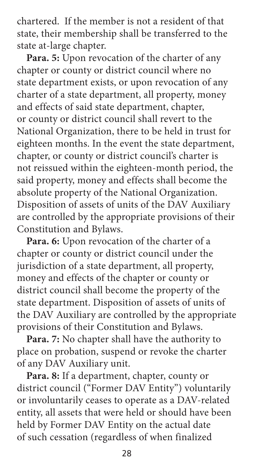<span id="page-35-0"></span>chartered. If the member is not a resident of that state, their membership shall be transferred to the state at-large chapter.

**Para. 5:** Upon revocation of the charter of any chapter or county or district council where no state department exists, or upon revocation of any charter of a state department, all property, money and effects of said state department, chapter, or county or district council shall revert to the National Organization, there to be held in trust for eighteen months. In the event the state department, chapter, or county or district council's charter is not reissued within the eighteen-month period, the said property, money and effects shall become the absolute property of the National Organization. Disposition of assets of units of the DAV Auxiliary are controlled by the appropriate provisions of their Constitution and Bylaws.

**Para. 6:** Upon revocation of the charter of a chapter or county or district council under the jurisdiction of a state department, all property, money and effects of the chapter or county or district council shall become the property of the state department. Disposition of assets of units of the DAV Auxiliary are controlled by the appropriate provisions of their Constitution and Bylaws.

**Para. 7:** No chapter shall have the authority to place on probation, suspend or revoke the charter of any DAV Auxiliary unit.

**Para. 8:** If a department, chapter, county or district council ("Former DAV Entity") voluntarily or involuntarily ceases to operate as a DAV-related entity, all assets that were held or should have been held by Former DAV Entity on the actual date of such cessation (regardless of when finalized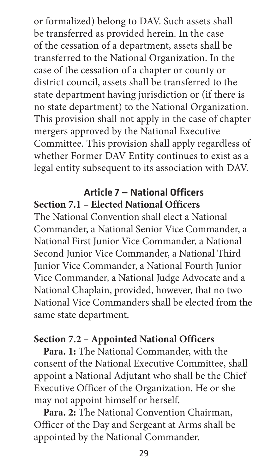or formalized) belong to DAV. Such assets shall be transferred as provided herein. In the case of the cessation of a department, assets shall be transferred to the National Organization. In the case of the cessation of a chapter or county or district council, assets shall be transferred to the state department having jurisdiction or (if there is no state department) to the National Organization. This provision shall not apply in the case of chapter mergers approved by the National Executive Committee. This provision shall apply regardless of whether Former DAV Entity continues to exist as a legal entity subsequent to its association with DAV.

# Article 7 — National Officers **Section 7.1 – Elected National Officers**

The National Convention shall elect a National Commander, a National Senior Vice Commander, a National First Junior Vice Commander, a National Second Junior Vice Commander, a National Third Junior Vice Commander, a National Fourth Junior Vice Commander, a National Judge Advocate and a National Chaplain, provided, however, that no two National Vice Commanders shall be elected from the same state department.

## **Section 7.2 – Appointed National Officers**

**Para. 1:** The National Commander, with the consent of the National Executive Committee, shall appoint a National Adjutant who shall be the Chief Executive Officer of the Organization. He or she may not appoint himself or herself.

**Para. 2:** The National Convention Chairman, Officer of the Day and Sergeant at Arms shall be appointed by the National Commander.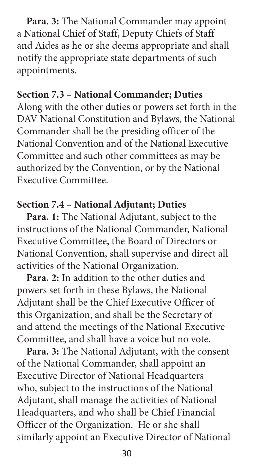**Para. 3:** The National Commander may appoint a National Chief of Staff, Deputy Chiefs of Staff and Aides as he or she deems appropriate and shall notify the appropriate state departments of such appointments.

#### **Section 7.3 – National Commander; Duties**

Along with the other duties or powers set forth in the DAV National Constitution and Bylaws, the National Commander shall be the presiding officer of the National Convention and of the National Executive Committee and such other committees as may be authorized by the Convention, or by the National Executive Committee.

#### **Section 7.4 – National Adjutant; Duties**

**Para. 1:** The National Adjutant, subject to the instructions of the National Commander, National Executive Committee, the Board of Directors or National Convention, shall supervise and direct all activities of the National Organization.

**Para. 2:** In addition to the other duties and powers set forth in these Bylaws, the National Adjutant shall be the Chief Executive Officer of this Organization, and shall be the Secretary of and attend the meetings of the National Executive Committee, and shall have a voice but no vote.

**Para. 3:** The National Adjutant, with the consent of the National Commander, shall appoint an Executive Director of National Headquarters who, subject to the instructions of the National Adjutant, shall manage the activities of National Headquarters, and who shall be Chief Financial Officer of the Organization. He or she shall similarly appoint an Executive Director of National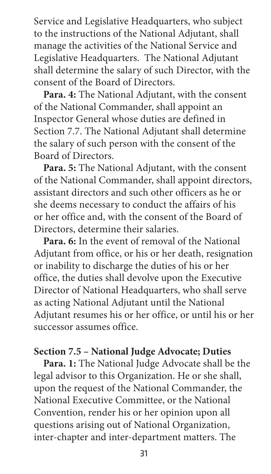Service and Legislative Headquarters, who subject to the instructions of the National Adjutant, shall manage the activities of the National Service and Legislative Headquarters. The National Adjutant shall determine the salary of such Director, with the consent of the Board of Directors.

**Para. 4:** The National Adjutant, with the consent of the National Commander, shall appoint an Inspector General whose duties are defined in Section 7.7. The National Adjutant shall determine the salary of such person with the consent of the Board of Directors.

**Para. 5:** The National Adjutant, with the consent of the National Commander, shall appoint directors, assistant directors and such other officers as he or she deems necessary to conduct the affairs of his or her office and, with the consent of the Board of Directors, determine their salaries.

**Para. 6:** In the event of removal of the National Adjutant from office, or his or her death, resignation or inability to discharge the duties of his or her office, the duties shall devolve upon the Executive Director of National Headquarters, who shall serve as acting National Adjutant until the National Adjutant resumes his or her office, or until his or her successor assumes office.

### **Section 7.5 – National Judge Advocate; Duties**

**Para. 1:** The National Judge Advocate shall be the legal advisor to this Organization. He or she shall, upon the request of the National Commander, the National Executive Committee, or the National Convention, render his or her opinion upon all questions arising out of National Organization, inter-chapter and inter-department matters. The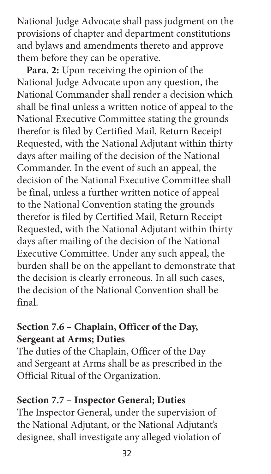National Judge Advocate shall pass judgment on the provisions of chapter and department constitutions and bylaws and amendments thereto and approve them before they can be operative.

**Para. 2:** Upon receiving the opinion of the National Judge Advocate upon any question, the National Commander shall render a decision which shall be final unless a written notice of appeal to the National Executive Committee stating the grounds therefor is filed by Certified Mail, Return Receipt Requested, with the National Adjutant within thirty days after mailing of the decision of the National Commander. In the event of such an appeal, the decision of the National Executive Committee shall be final, unless a further written notice of appeal to the National Convention stating the grounds therefor is filed by Certified Mail, Return Receipt Requested, with the National Adjutant within thirty days after mailing of the decision of the National Executive Committee. Under any such appeal, the burden shall be on the appellant to demonstrate that the decision is clearly erroneous. In all such cases, the decision of the National Convention shall be final.

## **Section 7.6 – Chaplain, Officer of the Day, Sergeant at Arms; Duties**

The duties of the Chaplain, Officer of the Day and Sergeant at Arms shall be as prescribed in the Official Ritual of the Organization.

## **Section 7.7 – Inspector General; Duties**

The Inspector General, under the supervision of the National Adjutant, or the National Adjutant's designee, shall investigate any alleged violation of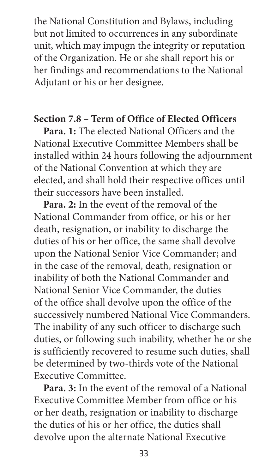the National Constitution and Bylaws, including but not limited to occurrences in any subordinate unit, which may impugn the integrity or reputation of the Organization. He or she shall report his or her findings and recommendations to the National Adjutant or his or her designee.

### **Section 7.8 – Term of Office of Elected Officers**

**Para. 1:** The elected National Officers and the National Executive Committee Members shall be installed within 24 hours following the adjournment of the National Convention at which they are elected, and shall hold their respective offices until their successors have been installed.

**Para. 2:** In the event of the removal of the National Commander from office, or his or her death, resignation, or inability to discharge the duties of his or her office, the same shall devolve upon the National Senior Vice Commander; and in the case of the removal, death, resignation or inability of both the National Commander and National Senior Vice Commander, the duties of the office shall devolve upon the office of the successively numbered National Vice Commanders. The inability of any such officer to discharge such duties, or following such inability, whether he or she is sufficiently recovered to resume such duties, shall be determined by two-thirds vote of the National Executive Committee.

**Para. 3:** In the event of the removal of a National Executive Committee Member from office or his or her death, resignation or inability to discharge the duties of his or her office, the duties shall devolve upon the alternate National Executive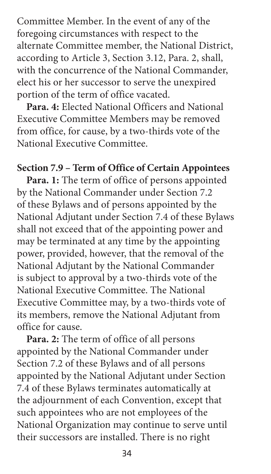Committee Member. In the event of any of the foregoing circumstances with respect to the alternate Committee member, the National District, according to Article 3, Section 3.12, Para. 2, shall, with the concurrence of the National Commander, elect his or her successor to serve the unexpired portion of the term of office vacated.

**Para. 4:** Elected National Officers and National Executive Committee Members may be removed from office, for cause, by a two-thirds vote of the National Executive Committee.

#### **Section 7.9 – Term of Office of Certain Appointees**

**Para. 1:** The term of office of persons appointed by the National Commander under Section 7.2 of these Bylaws and of persons appointed by the National Adjutant under Section 7.4 of these Bylaws shall not exceed that of the appointing power and may be terminated at any time by the appointing power, provided, however, that the removal of the National Adjutant by the National Commander is subject to approval by a two-thirds vote of the National Executive Committee. The National Executive Committee may, by a two-thirds vote of its members, remove the National Adjutant from office for cause.

**Para. 2:** The term of office of all persons appointed by the National Commander under Section 7.2 of these Bylaws and of all persons appointed by the National Adjutant under Section 7.4 of these Bylaws terminates automatically at the adjournment of each Convention, except that such appointees who are not employees of the National Organization may continue to serve until their successors are installed. There is no right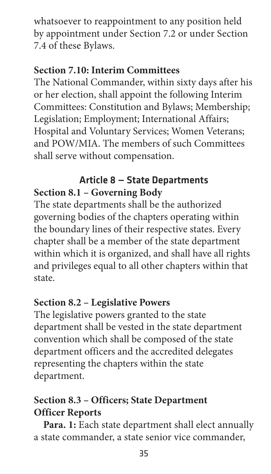whatsoever to reappointment to any position held by appointment under Section 7.2 or under Section 7.4 of these Bylaws.

## **Section 7.10: Interim Committees**

The National Commander, within sixty days after his or her election, shall appoint the following Interim Committees: Constitution and Bylaws; Membership; Legislation; Employment; International Affairs; Hospital and Voluntary Services; Women Veterans; and POW/MIA. The members of such Committees shall serve without compensation.

## Article 8 — State Departments **Section 8.1 – Governing Body**

The state departments shall be the authorized governing bodies of the chapters operating within the boundary lines of their respective states. Every chapter shall be a member of the state department within which it is organized, and shall have all rights and privileges equal to all other chapters within that state.

## **Section 8.2 – Legislative Powers**

The legislative powers granted to the state department shall be vested in the state department convention which shall be composed of the state department officers and the accredited delegates representing the chapters within the state department.

# **Section 8.3 – Officers; State Department Officer Reports**

**Para. 1:** Each state department shall elect annually a state commander, a state senior vice commander,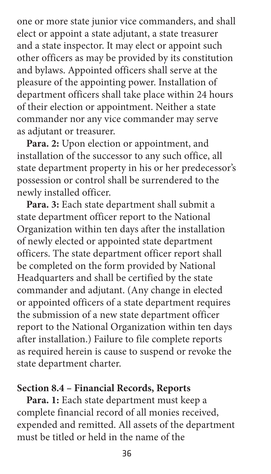one or more state junior vice commanders, and shall elect or appoint a state adjutant, a state treasurer and a state inspector. It may elect or appoint such other officers as may be provided by its constitution and bylaws. Appointed officers shall serve at the pleasure of the appointing power. Installation of department officers shall take place within 24 hours of their election or appointment. Neither a state commander nor any vice commander may serve as adjutant or treasurer.

**Para. 2:** Upon election or appointment, and installation of the successor to any such office, all state department property in his or her predecessor's possession or control shall be surrendered to the newly installed officer.

**Para. 3:** Each state department shall submit a state department officer report to the National Organization within ten days after the installation of newly elected or appointed state department officers. The state department officer report shall be completed on the form provided by National Headquarters and shall be certified by the state commander and adjutant. (Any change in elected or appointed officers of a state department requires the submission of a new state department officer report to the National Organization within ten days after installation.) Failure to file complete reports as required herein is cause to suspend or revoke the state department charter.

#### **Section 8.4 – Financial Records, Reports**

**Para. 1:** Each state department must keep a complete financial record of all monies received, expended and remitted. All assets of the department must be titled or held in the name of the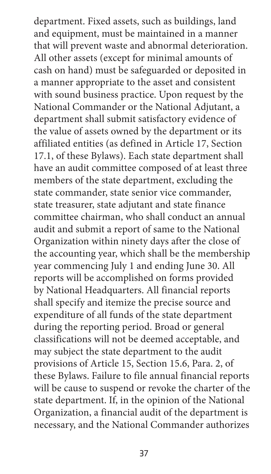department. Fixed assets, such as buildings, land and equipment, must be maintained in a manner that will prevent waste and abnormal deterioration. All other assets (except for minimal amounts of cash on hand) must be safeguarded or deposited in a manner appropriate to the asset and consistent with sound business practice. Upon request by the National Commander or the National Adjutant, a department shall submit satisfactory evidence of the value of assets owned by the department or its affiliated entities (as defined in Article 17, Section 17.1, of these Bylaws). Each state department shall have an audit committee composed of at least three members of the state department, excluding the state commander, state senior vice commander, state treasurer, state adjutant and state finance committee chairman, who shall conduct an annual audit and submit a report of same to the National Organization within ninety days after the close of the accounting year, which shall be the membership year commencing July 1 and ending June 30. All reports will be accomplished on forms provided by National Headquarters. All financial reports shall specify and itemize the precise source and expenditure of all funds of the state department during the reporting period. Broad or general classifications will not be deemed acceptable, and may subject the state department to the audit provisions of Article 15, Section 15.6, Para. 2, of these Bylaws. Failure to file annual financial reports will be cause to suspend or revoke the charter of the state department. If, in the opinion of the National Organization, a financial audit of the department is necessary, and the National Commander authorizes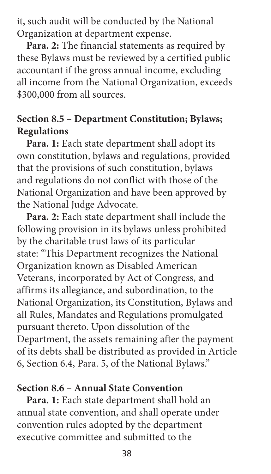it, such audit will be conducted by the National Organization at department expense.

**Para. 2:** The financial statements as required by these Bylaws must be reviewed by a certified public accountant if the gross annual income, excluding all income from the National Organization, exceeds \$300,000 from all sources.

# **Section 8.5 – Department Constitution; Bylaws; Regulations**

**Para. 1:** Each state department shall adopt its own constitution, bylaws and regulations, provided that the provisions of such constitution, bylaws and regulations do not conflict with those of the National Organization and have been approved by the National Judge Advocate.

**Para. 2:** Each state department shall include the following provision in its bylaws unless prohibited by the charitable trust laws of its particular state: "This Department recognizes the National Organization known as Disabled American Veterans, incorporated by Act of Congress, and affirms its allegiance, and subordination, to the National Organization, its Constitution, Bylaws and all Rules, Mandates and Regulations promulgated pursuant thereto. Upon dissolution of the Department, the assets remaining after the payment of its debts shall be distributed as provided in Article 6, Section 6.4, Para. 5, of the National Bylaws."

#### **Section 8.6 – Annual State Convention**

**Para. 1:** Each state department shall hold an annual state convention, and shall operate under convention rules adopted by the department executive committee and submitted to the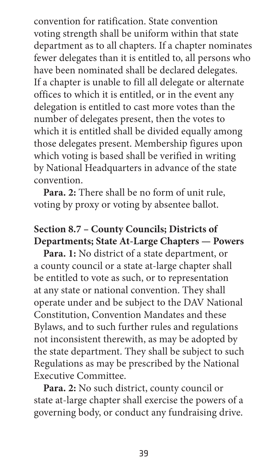convention for ratification. State convention voting strength shall be uniform within that state department as to all chapters. If a chapter nominates fewer delegates than it is entitled to, all persons who have been nominated shall be declared delegates. If a chapter is unable to fill all delegate or alternate offices to which it is entitled, or in the event any delegation is entitled to cast more votes than the number of delegates present, then the votes to which it is entitled shall be divided equally among those delegates present. Membership figures upon which voting is based shall be verified in writing by National Headquarters in advance of the state convention.

**Para. 2:** There shall be no form of unit rule, voting by proxy or voting by absentee ballot.

# **Section 8.7 – County Councils; Districts of Departments; State At-Large Chapters — Powers**

**Para. 1:** No district of a state department, or a county council or a state at-large chapter shall be entitled to vote as such, or to representation at any state or national convention. They shall operate under and be subject to the DAV National Constitution, Convention Mandates and these Bylaws, and to such further rules and regulations not inconsistent therewith, as may be adopted by the state department. They shall be subject to such Regulations as may be prescribed by the National Executive Committee.

**Para. 2:** No such district, county council or state at-large chapter shall exercise the powers of a governing body, or conduct any fundraising drive.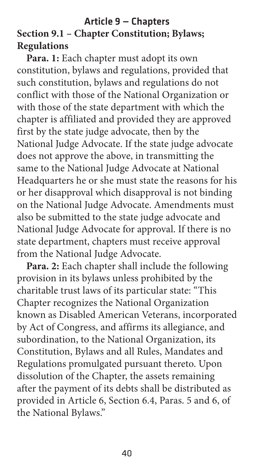## Article 9 — Chapters **Section 9.1 – Chapter Constitution; Bylaws; Regulations**

**Para. 1:** Each chapter must adopt its own constitution, bylaws and regulations, provided that such constitution, bylaws and regulations do not conflict with those of the National Organization or with those of the state department with which the chapter is affiliated and provided they are approved first by the state judge advocate, then by the National Judge Advocate. If the state judge advocate does not approve the above, in transmitting the same to the National Judge Advocate at National Headquarters he or she must state the reasons for his or her disapproval which disapproval is not binding on the National Judge Advocate. Amendments must also be submitted to the state judge advocate and National Judge Advocate for approval. If there is no state department, chapters must receive approval from the National Judge Advocate.

**Para. 2:** Each chapter shall include the following provision in its bylaws unless prohibited by the charitable trust laws of its particular state: "This Chapter recognizes the National Organization known as Disabled American Veterans, incorporated by Act of Congress, and affirms its allegiance, and subordination, to the National Organization, its Constitution, Bylaws and all Rules, Mandates and Regulations promulgated pursuant thereto. Upon dissolution of the Chapter, the assets remaining after the payment of its debts shall be distributed as provided in Article 6, Section 6.4, Paras. 5 and 6, of the National Bylaws."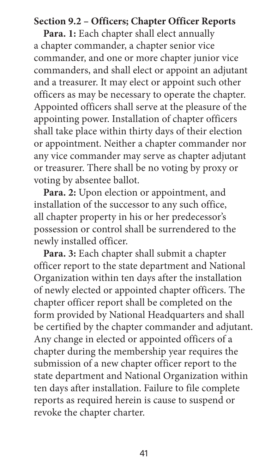### **Section 9.2 – Officers; Chapter Officer Reports**

**Para. 1:** Each chapter shall elect annually a chapter commander, a chapter senior vice commander, and one or more chapter junior vice commanders, and shall elect or appoint an adjutant and a treasurer. It may elect or appoint such other officers as may be necessary to operate the chapter. Appointed officers shall serve at the pleasure of the appointing power. Installation of chapter officers shall take place within thirty days of their election or appointment. Neither a chapter commander nor any vice commander may serve as chapter adjutant or treasurer. There shall be no voting by proxy or voting by absentee ballot.

**Para. 2:** Upon election or appointment, and installation of the successor to any such office, all chapter property in his or her predecessor's possession or control shall be surrendered to the newly installed officer.

**Para. 3:** Each chapter shall submit a chapter officer report to the state department and National Organization within ten days after the installation of newly elected or appointed chapter officers. The chapter officer report shall be completed on the form provided by National Headquarters and shall be certified by the chapter commander and adjutant. Any change in elected or appointed officers of a chapter during the membership year requires the submission of a new chapter officer report to the state department and National Organization within ten days after installation. Failure to file complete reports as required herein is cause to suspend or revoke the chapter charter.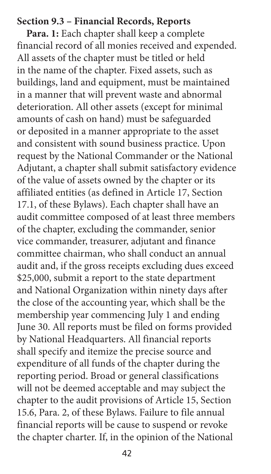#### **Section 9.3 – Financial Records, Reports**

**Para. 1:** Each chapter shall keep a complete financial record of all monies received and expended. All assets of the chapter must be titled or held in the name of the chapter. Fixed assets, such as buildings, land and equipment, must be maintained in a manner that will prevent waste and abnormal deterioration. All other assets (except for minimal amounts of cash on hand) must be safeguarded or deposited in a manner appropriate to the asset and consistent with sound business practice. Upon request by the National Commander or the National Adjutant, a chapter shall submit satisfactory evidence of the value of assets owned by the chapter or its affiliated entities (as defined in Article 17, Section 17.1, of these Bylaws). Each chapter shall have an audit committee composed of at least three members of the chapter, excluding the commander, senior vice commander, treasurer, adjutant and finance committee chairman, who shall conduct an annual audit and, if the gross receipts excluding dues exceed \$25,000, submit a report to the state department and National Organization within ninety days after the close of the accounting year, which shall be the membership year commencing July 1 and ending June 30. All reports must be filed on forms provided by National Headquarters. All financial reports shall specify and itemize the precise source and expenditure of all funds of the chapter during the reporting period. Broad or general classifications will not be deemed acceptable and may subject the chapter to the audit provisions of Article 15, Section 15.6, Para. 2, of these Bylaws. Failure to file annual financial reports will be cause to suspend or revoke the chapter charter. If, in the opinion of the National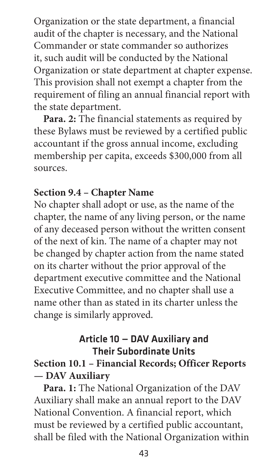Organization or the state department, a financial audit of the chapter is necessary, and the National Commander or state commander so authorizes it, such audit will be conducted by the National Organization or state department at chapter expense. This provision shall not exempt a chapter from the requirement of filing an annual financial report with the state department.

**Para. 2:** The financial statements as required by these Bylaws must be reviewed by a certified public accountant if the gross annual income, excluding membership per capita, exceeds \$300,000 from all sources.

### **Section 9.4 – Chapter Name**

No chapter shall adopt or use, as the name of the chapter, the name of any living person, or the name of any deceased person without the written consent of the next of kin. The name of a chapter may not be changed by chapter action from the name stated on its charter without the prior approval of the department executive committee and the National Executive Committee, and no chapter shall use a name other than as stated in its charter unless the change is similarly approved.

# Article 10 — DAV Auxiliary and Their Subordinate Units

# **Section 10.1 – Financial Records; Officer Reports — DAV Auxiliary**

**Para. 1:** The National Organization of the DAV Auxiliary shall make an annual report to the DAV National Convention. A financial report, which must be reviewed by a certified public accountant, shall be filed with the National Organization within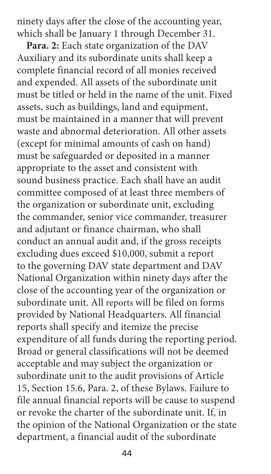ninety days after the close of the accounting year, which shall be January 1 through December 31.

**Para. 2:** Each state organization of the DAV Auxiliary and its subordinate units shall keep a complete financial record of all monies received and expended. All assets of the subordinate unit must be titled or held in the name of the unit. Fixed assets, such as buildings, land and equipment, must be maintained in a manner that will prevent waste and abnormal deterioration. All other assets (except for minimal amounts of cash on hand) must be safeguarded or deposited in a manner appropriate to the asset and consistent with sound business practice. Each shall have an audit committee composed of at least three members of the organization or subordinate unit, excluding the commander, senior vice commander, treasurer and adjutant or finance chairman, who shall conduct an annual audit and, if the gross receipts excluding dues exceed \$10,000, submit a report to the governing DAV state department and DAV National Organization within ninety days after the close of the accounting year of the organization or subordinate unit. All reports will be filed on forms provided by National Headquarters. All financial reports shall specify and itemize the precise expenditure of all funds during the reporting period. Broad or general classifications will not be deemed acceptable and may subject the organization or subordinate unit to the audit provisions of Article 15, Section 15.6, Para. 2, of these Bylaws. Failure to file annual financial reports will be cause to suspend or revoke the charter of the subordinate unit. If, in the opinion of the National Organization or the state department, a financial audit of the subordinate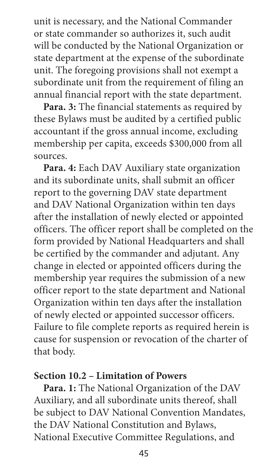unit is necessary, and the National Commander or state commander so authorizes it, such audit will be conducted by the National Organization or state department at the expense of the subordinate unit. The foregoing provisions shall not exempt a subordinate unit from the requirement of filing an annual financial report with the state department.

**Para. 3:** The financial statements as required by these Bylaws must be audited by a certified public accountant if the gross annual income, excluding membership per capita, exceeds \$300,000 from all sources.

**Para. 4:** Each DAV Auxiliary state organization and its subordinate units, shall submit an officer report to the governing DAV state department and DAV National Organization within ten days after the installation of newly elected or appointed officers. The officer report shall be completed on the form provided by National Headquarters and shall be certified by the commander and adjutant. Any change in elected or appointed officers during the membership year requires the submission of a new officer report to the state department and National Organization within ten days after the installation of newly elected or appointed successor officers. Failure to file complete reports as required herein is cause for suspension or revocation of the charter of that body.

### **Section 10.2 – Limitation of Powers**

**Para. 1:** The National Organization of the DAV Auxiliary, and all subordinate units thereof, shall be subject to DAV National Convention Mandates, the DAV National Constitution and Bylaws, National Executive Committee Regulations, and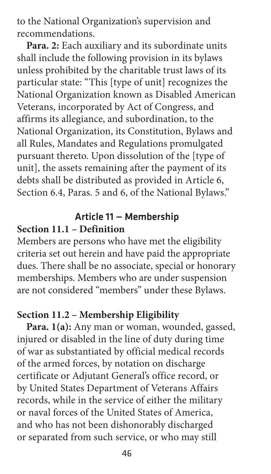to the National Organization's supervision and recommendations.

**Para. 2:** Each auxiliary and its subordinate units shall include the following provision in its bylaws unless prohibited by the charitable trust laws of its particular state: "This [type of unit] recognizes the National Organization known as Disabled American Veterans, incorporated by Act of Congress, and affirms its allegiance, and subordination, to the National Organization, its Constitution, Bylaws and all Rules, Mandates and Regulations promulgated pursuant thereto. Upon dissolution of the [type of unit], the assets remaining after the payment of its debts shall be distributed as provided in Article 6, Section 6.4, Paras. 5 and 6, of the National Bylaws."

## Article 11 — Membership **Section 11.1 – Definition**

Members are persons who have met the eligibility criteria set out herein and have paid the appropriate dues. There shall be no associate, special or honorary memberships. Members who are under suspension are not considered "members" under these Bylaws.

## **Section 11.2 – Membership Eligibility**

**Para. 1(a):** Any man or woman, wounded, gassed, injured or disabled in the line of duty during time of war as substantiated by official medical records of the armed forces, by notation on discharge certificate or Adjutant General's office record, or by United States Department of Veterans Affairs records, while in the service of either the military or naval forces of the United States of America, and who has not been dishonorably discharged or separated from such service, or who may still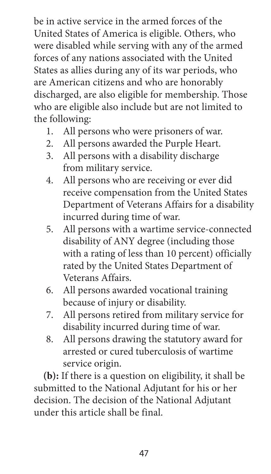be in active service in the armed forces of the United States of America is eligible. Others, who were disabled while serving with any of the armed forces of any nations associated with the United States as allies during any of its war periods, who are American citizens and who are honorably discharged, are also eligible for membership. Those who are eligible also include but are not limited to the following:

- 1. All persons who were prisoners of war.
- 2. All persons awarded the Purple Heart.
- 3. All persons with a disability discharge from military service.
- 4. All persons who are receiving or ever did receive compensation from the United States Department of Veterans Affairs for a disability incurred during time of war.
- 5. All persons with a wartime service-connected disability of ANY degree (including those with a rating of less than 10 percent) officially rated by the United States Department of Veterans Affairs.
- 6. All persons awarded vocational training because of injury or disability.
- 7. All persons retired from military service for disability incurred during time of war.
- 8. All persons drawing the statutory award for arrested or cured tuberculosis of wartime service origin.

**(b):** If there is a question on eligibility, it shall be submitted to the National Adjutant for his or her decision. The decision of the National Adjutant under this article shall be final.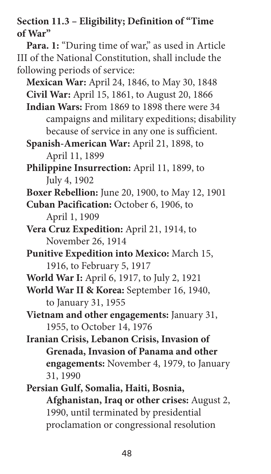**Section 11.3 – Eligibility; Definition of "Time of War"**

Para. 1: "During time of war," as used in Article III of the National Constitution, shall include the following periods of service:

**Mexican War:** April 24, 1846, to May 30, 1848

**Civil War:** April 15, 1861, to August 20, 1866

- **Indian Wars:** From 1869 to 1898 there were 34 campaigns and military expeditions; disability because of service in any one is sufficient.
- **Spanish-American War:** April 21, 1898, to April 11, 1899
- **Philippine Insurrection:** April 11, 1899, to July 4, 1902
- **Boxer Rebellion:** June 20, 1900, to May 12, 1901
- **Cuban Pacification:** October 6, 1906, to April 1, 1909
- **Vera Cruz Expedition:** April 21, 1914, to November 26, 1914
- **Punitive Expedition into Mexico:** March 15, 1916, to February 5, 1917
- **World War I:** April 6, 1917, to July 2, 1921

**World War II & Korea:** September 16, 1940, to January 31, 1955

- **Vietnam and other engagements:** January 31, 1955, to October 14, 1976
- **Iranian Crisis, Lebanon Crisis, Invasion of Grenada, Invasion of Panama and other engagements:** November 4, 1979, to January 31, 1990
- **Persian Gulf, Somalia, Haiti, Bosnia, Afghanistan, Iraq or other crises:** August 2, 1990, until terminated by presidential proclamation or congressional resolution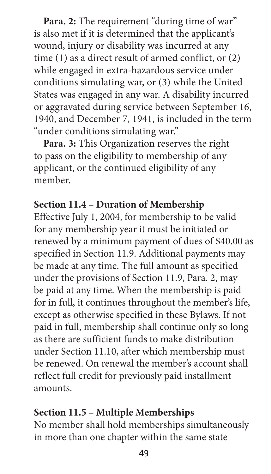**Para. 2:** The requirement "during time of war" is also met if it is determined that the applicant's wound, injury or disability was incurred at any time (1) as a direct result of armed conflict, or (2) while engaged in extra-hazardous service under conditions simulating war, or (3) while the United States was engaged in any war. A disability incurred or aggravated during service between September 16, 1940, and December 7, 1941, is included in the term "under conditions simulating war."

**Para. 3:** This Organization reserves the right to pass on the eligibility to membership of any applicant, or the continued eligibility of any member.

## **Section 11.4 – Duration of Membership**

Effective July 1, 2004, for membership to be valid for any membership year it must be initiated or renewed by a minimum payment of dues of \$40.00 as specified in Section 11.9. Additional payments may be made at any time. The full amount as specified under the provisions of Section 11.9, Para. 2, may be paid at any time. When the membership is paid for in full, it continues throughout the member's life, except as otherwise specified in these Bylaws. If not paid in full, membership shall continue only so long as there are sufficient funds to make distribution under Section 11.10, after which membership must be renewed. On renewal the member's account shall reflect full credit for previously paid installment amounts.

# **Section 11.5 – Multiple Memberships**

No member shall hold memberships simultaneously in more than one chapter within the same state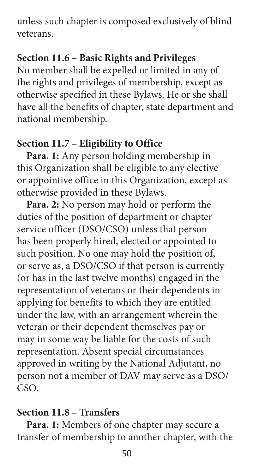unless such chapter is composed exclusively of blind veterans.

# **Section 11.6 – Basic Rights and Privileges**

No member shall be expelled or limited in any of the rights and privileges of membership, except as otherwise specified in these Bylaws. He or she shall have all the benefits of chapter, state department and national membership.

# **Section 11.7 – Eligibility to Office**

**Para. 1:** Any person holding membership in this Organization shall be eligible to any elective or appointive office in this Organization, except as otherwise provided in these Bylaws.

**Para. 2:** No person may hold or perform the duties of the position of department or chapter service officer (DSO/CSO) unless that person has been properly hired, elected or appointed to such position. No one may hold the position of, or serve as, a DSO/CSO if that person is currently (or has in the last twelve months) engaged in the representation of veterans or their dependents in applying for benefits to which they are entitled under the law, with an arrangement wherein the veteran or their dependent themselves pay or may in some way be liable for the costs of such representation. Absent special circumstances approved in writing by the National Adjutant, no person not a member of DAV may serve as a DSO/ CSO.

# **Section 11.8 – Transfers**

**Para. 1:** Members of one chapter may secure a transfer of membership to another chapter, with the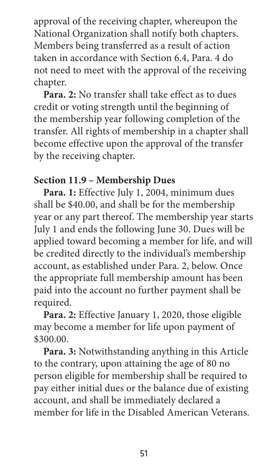approval of the receiving chapter, whereupon the National Organization shall notify both chapters. Members being transferred as a result of action taken in accordance with Section 6.4, Para. 4 do not need to meet with the approval of the receiving chapter.

**Para. 2:** No transfer shall take effect as to dues credit or voting strength until the beginning of the membership year following completion of the transfer. All rights of membership in a chapter shall become effective upon the approval of the transfer by the receiving chapter.

### **Section 11.9 – Membership Dues**

Para. 1: Effective July 1, 2004, minimum dues shall be \$40.00, and shall be for the membership year or any part thereof. The membership year starts July 1 and ends the following June 30. Dues will be applied toward becoming a member for life, and will be credited directly to the individual's membership account, as established under Para. 2, below. Once the appropriate full membership amount has been paid into the account no further payment shall be required.

**Para. 2:** Effective January 1, 2020, those eligible may become a member for life upon payment of \$300.00.

**Para. 3:** Notwithstanding anything in this Article to the contrary, upon attaining the age of 80 no person eligible for membership shall be required to pay either initial dues or the balance due of existing account, and shall be immediately declared a member for life in the Disabled American Veterans.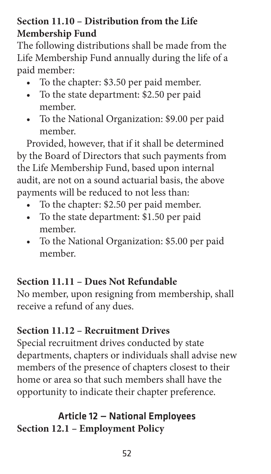# **Section 11.10 – Distribution from the Life Membership Fund**

The following distributions shall be made from the Life Membership Fund annually during the life of a paid member:

- To the chapter: \$3.50 per paid member.
- To the state department: \$2.50 per paid member.
- To the National Organization: \$9.00 per paid member.

Provided, however, that if it shall be determined by the Board of Directors that such payments from the Life Membership Fund, based upon internal audit, are not on a sound actuarial basis, the above payments will be reduced to not less than:

- To the chapter: \$2.50 per paid member.
- To the state department: \$1.50 per paid member.
- To the National Organization: \$5.00 per paid member.

# **Section 11.11 – Dues Not Refundable**

No member, upon resigning from membership, shall receive a refund of any dues.

# **Section 11.12 – Recruitment Drives**

Special recruitment drives conducted by state departments, chapters or individuals shall advise new members of the presence of chapters closest to their home or area so that such members shall have the opportunity to indicate their chapter preference.

# Article 12 — National Employees **Section 12.1 – Employment Policy**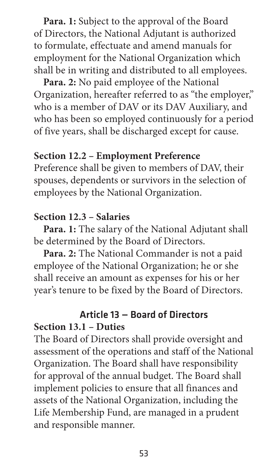**Para. 1:** Subject to the approval of the Board of Directors, the National Adjutant is authorized to formulate, effectuate and amend manuals for employment for the National Organization which shall be in writing and distributed to all employees.

**Para. 2:** No paid employee of the National Organization, hereafter referred to as "the employer," who is a member of DAV or its DAV Auxiliary, and who has been so employed continuously for a period of five years, shall be discharged except for cause.

# **Section 12.2 – Employment Preference**

Preference shall be given to members of DAV, their spouses, dependents or survivors in the selection of employees by the National Organization.

## **Section 12.3 – Salaries**

**Para. 1:** The salary of the National Adjutant shall be determined by the Board of Directors.

**Para. 2:** The National Commander is not a paid employee of the National Organization; he or she shall receive an amount as expenses for his or her year's tenure to be fixed by the Board of Directors.

#### Article 13 — Board of Directors **Section 13.1 – Duties**

The Board of Directors shall provide oversight and assessment of the operations and staff of the National Organization. The Board shall have responsibility for approval of the annual budget. The Board shall implement policies to ensure that all finances and assets of the National Organization, including the Life Membership Fund, are managed in a prudent and responsible manner.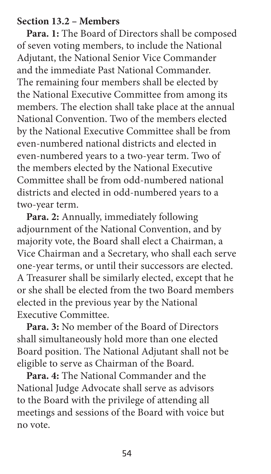#### **Section 13.2 – Members**

**Para. 1:** The Board of Directors shall be composed of seven voting members, to include the National Adjutant, the National Senior Vice Commander and the immediate Past National Commander. The remaining four members shall be elected by the National Executive Committee from among its members. The election shall take place at the annual National Convention. Two of the members elected by the National Executive Committee shall be from even-numbered national districts and elected in even-numbered years to a two-year term. Two of the members elected by the National Executive Committee shall be from odd-numbered national districts and elected in odd-numbered years to a two-year term.

**Para. 2:** Annually, immediately following adjournment of the National Convention, and by majority vote, the Board shall elect a Chairman, a Vice Chairman and a Secretary, who shall each serve one-year terms, or until their successors are elected. A Treasurer shall be similarly elected, except that he or she shall be elected from the two Board members elected in the previous year by the National Executive Committee.

**Para. 3:** No member of the Board of Directors shall simultaneously hold more than one elected Board position. The National Adjutant shall not be eligible to serve as Chairman of the Board.

**Para. 4:** The National Commander and the National Judge Advocate shall serve as advisors to the Board with the privilege of attending all meetings and sessions of the Board with voice but no vote.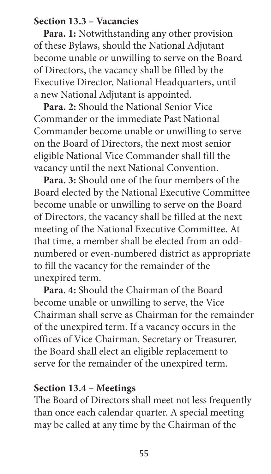### **Section 13.3 – Vacancies**

**Para. 1:** Notwithstanding any other provision of these Bylaws, should the National Adjutant become unable or unwilling to serve on the Board of Directors, the vacancy shall be filled by the Executive Director, National Headquarters, until a new National Adjutant is appointed.

**Para. 2:** Should the National Senior Vice Commander or the immediate Past National Commander become unable or unwilling to serve on the Board of Directors, the next most senior eligible National Vice Commander shall fill the vacancy until the next National Convention.

**Para. 3:** Should one of the four members of the Board elected by the National Executive Committee become unable or unwilling to serve on the Board of Directors, the vacancy shall be filled at the next meeting of the National Executive Committee. At that time, a member shall be elected from an oddnumbered or even-numbered district as appropriate to fill the vacancy for the remainder of the unexpired term.

**Para. 4:** Should the Chairman of the Board become unable or unwilling to serve, the Vice Chairman shall serve as Chairman for the remainder of the unexpired term. If a vacancy occurs in the offices of Vice Chairman, Secretary or Treasurer, the Board shall elect an eligible replacement to serve for the remainder of the unexpired term.

### **Section 13.4 – Meetings**

The Board of Directors shall meet not less frequently than once each calendar quarter. A special meeting may be called at any time by the Chairman of the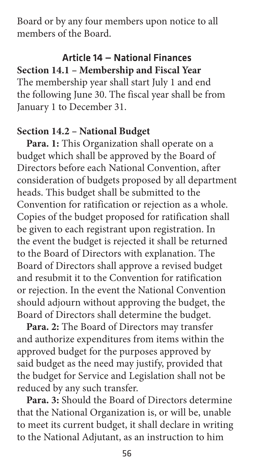Board or by any four members upon notice to all members of the Board.

### Article 14 — National Finances **Section 14.1 – Membership and Fiscal Year**

The membership year shall start July 1 and end the following June 30. The fiscal year shall be from January 1 to December 31.

### **Section 14.2 – National Budget**

**Para. 1:** This Organization shall operate on a budget which shall be approved by the Board of Directors before each National Convention, after consideration of budgets proposed by all department heads. This budget shall be submitted to the Convention for ratification or rejection as a whole. Copies of the budget proposed for ratification shall be given to each registrant upon registration. In the event the budget is rejected it shall be returned to the Board of Directors with explanation. The Board of Directors shall approve a revised budget and resubmit it to the Convention for ratification or rejection. In the event the National Convention should adjourn without approving the budget, the Board of Directors shall determine the budget.

**Para. 2:** The Board of Directors may transfer and authorize expenditures from items within the approved budget for the purposes approved by said budget as the need may justify, provided that the budget for Service and Legislation shall not be reduced by any such transfer.

**Para. 3:** Should the Board of Directors determine that the National Organization is, or will be, unable to meet its current budget, it shall declare in writing to the National Adjutant, as an instruction to him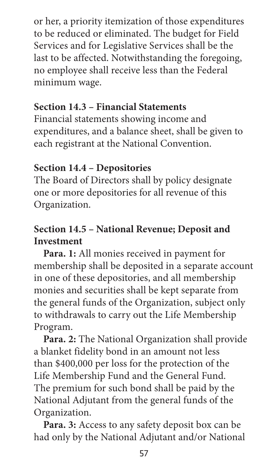or her, a priority itemization of those expenditures to be reduced or eliminated. The budget for Field Services and for Legislative Services shall be the last to be affected. Notwithstanding the foregoing, no employee shall receive less than the Federal minimum wage.

## **Section 14.3 – Financial Statements**

Financial statements showing income and expenditures, and a balance sheet, shall be given to each registrant at the National Convention.

# **Section 14.4 – Depositories**

The Board of Directors shall by policy designate one or more depositories for all revenue of this Organization.

# **Section 14.5 – National Revenue; Deposit and Investment**

**Para. 1:** All monies received in payment for membership shall be deposited in a separate account in one of these depositories, and all membership monies and securities shall be kept separate from the general funds of the Organization, subject only to withdrawals to carry out the Life Membership Program.

**Para. 2:** The National Organization shall provide a blanket fidelity bond in an amount not less than \$400,000 per loss for the protection of the Life Membership Fund and the General Fund. The premium for such bond shall be paid by the National Adjutant from the general funds of the Organization.

**Para. 3:** Access to any safety deposit box can be had only by the National Adjutant and/or National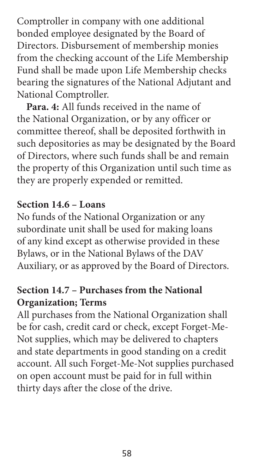Comptroller in company with one additional bonded employee designated by the Board of Directors. Disbursement of membership monies from the checking account of the Life Membership Fund shall be made upon Life Membership checks bearing the signatures of the National Adjutant and National Comptroller.

**Para. 4:** All funds received in the name of the National Organization, or by any officer or committee thereof, shall be deposited forthwith in such depositories as may be designated by the Board of Directors, where such funds shall be and remain the property of this Organization until such time as they are properly expended or remitted.

### **Section 14.6 – Loans**

No funds of the National Organization or any subordinate unit shall be used for making loans of any kind except as otherwise provided in these Bylaws, or in the National Bylaws of the DAV Auxiliary, or as approved by the Board of Directors.

## **Section 14.7 – Purchases from the National Organization; Terms**

All purchases from the National Organization shall be for cash, credit card or check, except Forget-Me-Not supplies, which may be delivered to chapters and state departments in good standing on a credit account. All such Forget-Me-Not supplies purchased on open account must be paid for in full within thirty days after the close of the drive.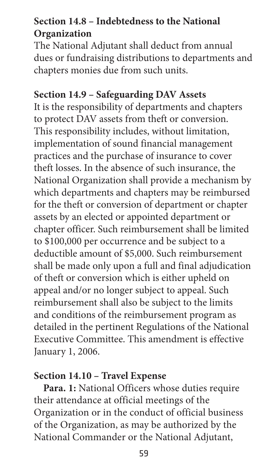# **Section 14.8 – Indebtedness to the National Organization**

The National Adjutant shall deduct from annual dues or fundraising distributions to departments and chapters monies due from such units.

### **Section 14.9 – Safeguarding DAV Assets**

It is the responsibility of departments and chapters to protect DAV assets from theft or conversion. This responsibility includes, without limitation, implementation of sound financial management practices and the purchase of insurance to cover theft losses. In the absence of such insurance, the National Organization shall provide a mechanism by which departments and chapters may be reimbursed for the theft or conversion of department or chapter assets by an elected or appointed department or chapter officer. Such reimbursement shall be limited to \$100,000 per occurrence and be subject to a deductible amount of \$5,000. Such reimbursement shall be made only upon a full and final adjudication of theft or conversion which is either upheld on appeal and/or no longer subject to appeal. Such reimbursement shall also be subject to the limits and conditions of the reimbursement program as detailed in the pertinent Regulations of the National Executive Committee. This amendment is effective January 1, 2006.

### **Section 14.10 – Travel Expense**

**Para. 1:** National Officers whose duties require their attendance at official meetings of the Organization or in the conduct of official business of the Organization, as may be authorized by the National Commander or the National Adjutant,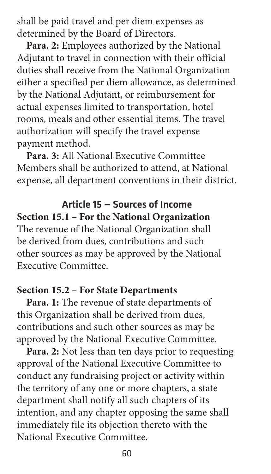shall be paid travel and per diem expenses as determined by the Board of Directors.

**Para. 2:** Employees authorized by the National Adjutant to travel in connection with their official duties shall receive from the National Organization either a specified per diem allowance, as determined by the National Adjutant, or reimbursement for actual expenses limited to transportation, hotel rooms, meals and other essential items. The travel authorization will specify the travel expense payment method.

**Para. 3:** All National Executive Committee Members shall be authorized to attend, at National expense, all department conventions in their district.

Article 15 — Sources of Income **Section 15.1 – For the National Organization** The revenue of the National Organization shall be derived from dues, contributions and such other sources as may be approved by the National Executive Committee.

#### **Section 15.2 – For State Departments**

**Para. 1:** The revenue of state departments of this Organization shall be derived from dues, contributions and such other sources as may be approved by the National Executive Committee.

**Para. 2:** Not less than ten days prior to requesting approval of the National Executive Committee to conduct any fundraising project or activity within the territory of any one or more chapters, a state department shall notify all such chapters of its intention, and any chapter opposing the same shall immediately file its objection thereto with the National Executive Committee.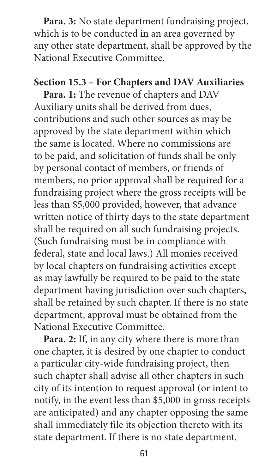**Para. 3:** No state department fundraising project, which is to be conducted in an area governed by any other state department, shall be approved by the National Executive Committee.

#### **Section 15.3 – For Chapters and DAV Auxiliaries**

**Para. 1:** The revenue of chapters and DAV Auxiliary units shall be derived from dues, contributions and such other sources as may be approved by the state department within which the same is located. Where no commissions are to be paid, and solicitation of funds shall be only by personal contact of members, or friends of members, no prior approval shall be required for a fundraising project where the gross receipts will be less than \$5,000 provided, however, that advance written notice of thirty days to the state department shall be required on all such fundraising projects. (Such fundraising must be in compliance with federal, state and local laws.) All monies received by local chapters on fundraising activities except as may lawfully be required to be paid to the state department having jurisdiction over such chapters, shall be retained by such chapter. If there is no state department, approval must be obtained from the National Executive Committee.

**Para. 2:** If, in any city where there is more than one chapter, it is desired by one chapter to conduct a particular city-wide fundraising project, then such chapter shall advise all other chapters in such city of its intention to request approval (or intent to notify, in the event less than \$5,000 in gross receipts are anticipated) and any chapter opposing the same shall immediately file its objection thereto with its state department. If there is no state department,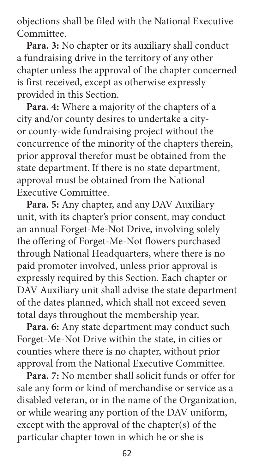objections shall be filed with the National Executive Committee.

**Para. 3:** No chapter or its auxiliary shall conduct a fundraising drive in the territory of any other chapter unless the approval of the chapter concerned is first received, except as otherwise expressly provided in this Section.

**Para. 4:** Where a majority of the chapters of a city and/or county desires to undertake a cityor county-wide fundraising project without the concurrence of the minority of the chapters therein, prior approval therefor must be obtained from the state department. If there is no state department, approval must be obtained from the National Executive Committee.

**Para. 5:** Any chapter, and any DAV Auxiliary unit, with its chapter's prior consent, may conduct an annual Forget-Me-Not Drive, involving solely the offering of Forget-Me-Not flowers purchased through National Headquarters, where there is no paid promoter involved, unless prior approval is expressly required by this Section. Each chapter or DAV Auxiliary unit shall advise the state department of the dates planned, which shall not exceed seven total days throughout the membership year.

**Para. 6:** Any state department may conduct such Forget-Me-Not Drive within the state, in cities or counties where there is no chapter, without prior approval from the National Executive Committee.

**Para. 7:** No member shall solicit funds or offer for sale any form or kind of merchandise or service as a disabled veteran, or in the name of the Organization, or while wearing any portion of the DAV uniform, except with the approval of the chapter(s) of the particular chapter town in which he or she is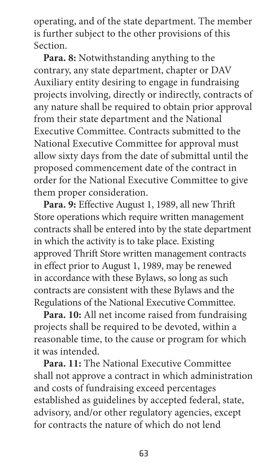operating, and of the state department. The member is further subject to the other provisions of this Section.

**Para. 8:** Notwithstanding anything to the contrary, any state department, chapter or DAV Auxiliary entity desiring to engage in fundraising projects involving, directly or indirectly, contracts of any nature shall be required to obtain prior approval from their state department and the National Executive Committee. Contracts submitted to the National Executive Committee for approval must allow sixty days from the date of submittal until the proposed commencement date of the contract in order for the National Executive Committee to give them proper consideration.

**Para. 9:** Effective August 1, 1989, all new Thrift Store operations which require written management contracts shall be entered into by the state department in which the activity is to take place. Existing approved Thrift Store written management contracts in effect prior to August 1, 1989, may be renewed in accordance with these Bylaws, so long as such contracts are consistent with these Bylaws and the Regulations of the National Executive Committee.

**Para. 10:** All net income raised from fundraising projects shall be required to be devoted, within a reasonable time, to the cause or program for which it was intended.

**Para. 11:** The National Executive Committee shall not approve a contract in which administration and costs of fundraising exceed percentages established as guidelines by accepted federal, state, advisory, and/or other regulatory agencies, except for contracts the nature of which do not lend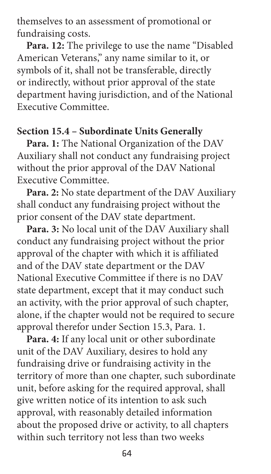themselves to an assessment of promotional or fundraising costs.

**Para. 12:** The privilege to use the name "Disabled American Veterans," any name similar to it, or symbols of it, shall not be transferable, directly or indirectly, without prior approval of the state department having jurisdiction, and of the National Executive Committee.

### **Section 15.4 – Subordinate Units Generally**

**Para. 1:** The National Organization of the DAV Auxiliary shall not conduct any fundraising project without the prior approval of the DAV National Executive Committee.

**Para. 2:** No state department of the DAV Auxiliary shall conduct any fundraising project without the prior consent of the DAV state department.

**Para. 3:** No local unit of the DAV Auxiliary shall conduct any fundraising project without the prior approval of the chapter with which it is affiliated and of the DAV state department or the DAV National Executive Committee if there is no DAV state department, except that it may conduct such an activity, with the prior approval of such chapter, alone, if the chapter would not be required to secure approval therefor under Section 15.3, Para. 1.

**Para. 4:** If any local unit or other subordinate unit of the DAV Auxiliary, desires to hold any fundraising drive or fundraising activity in the territory of more than one chapter, such subordinate unit, before asking for the required approval, shall give written notice of its intention to ask such approval, with reasonably detailed information about the proposed drive or activity, to all chapters within such territory not less than two weeks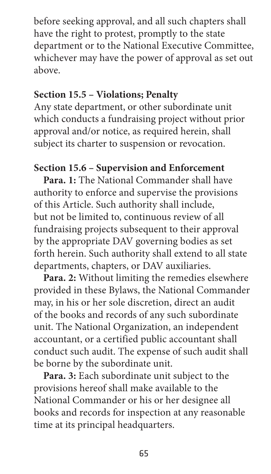before seeking approval, and all such chapters shall have the right to protest, promptly to the state department or to the National Executive Committee, whichever may have the power of approval as set out above.

#### **Section 15.5 – Violations; Penalty**

Any state department, or other subordinate unit which conducts a fundraising project without prior approval and/or notice, as required herein, shall subject its charter to suspension or revocation.

## **Section 15.6 – Supervision and Enforcement**

**Para. 1:** The National Commander shall have authority to enforce and supervise the provisions of this Article. Such authority shall include, but not be limited to, continuous review of all fundraising projects subsequent to their approval by the appropriate DAV governing bodies as set forth herein. Such authority shall extend to all state departments, chapters, or DAV auxiliaries.

**Para. 2:** Without limiting the remedies elsewhere provided in these Bylaws, the National Commander may, in his or her sole discretion, direct an audit of the books and records of any such subordinate unit. The National Organization, an independent accountant, or a certified public accountant shall conduct such audit. The expense of such audit shall be borne by the subordinate unit.

**Para. 3:** Each subordinate unit subject to the provisions hereof shall make available to the National Commander or his or her designee all books and records for inspection at any reasonable time at its principal headquarters.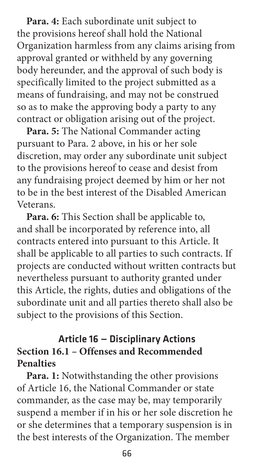**Para. 4:** Each subordinate unit subject to the provisions hereof shall hold the National Organization harmless from any claims arising from approval granted or withheld by any governing body hereunder, and the approval of such body is specifically limited to the project submitted as a means of fundraising, and may not be construed so as to make the approving body a party to any contract or obligation arising out of the project.

**Para. 5:** The National Commander acting pursuant to Para. 2 above, in his or her sole discretion, may order any subordinate unit subject to the provisions hereof to cease and desist from any fundraising project deemed by him or her not to be in the best interest of the Disabled American Veterans.

**Para. 6:** This Section shall be applicable to, and shall be incorporated by reference into, all contracts entered into pursuant to this Article. It shall be applicable to all parties to such contracts. If projects are conducted without written contracts but nevertheless pursuant to authority granted under this Article, the rights, duties and obligations of the subordinate unit and all parties thereto shall also be subject to the provisions of this Section.

## Article 16 — Disciplinary Actions **Section 16.1 – Offenses and Recommended Penalties**

**Para. 1:** Notwithstanding the other provisions of Article 16, the National Commander or state commander, as the case may be, may temporarily suspend a member if in his or her sole discretion he or she determines that a temporary suspension is in the best interests of the Organization. The member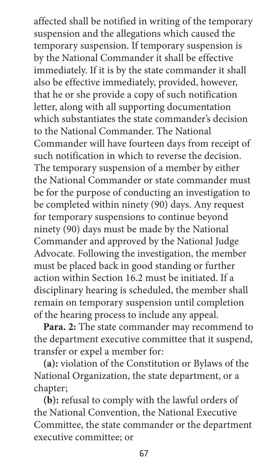affected shall be notified in writing of the temporary suspension and the allegations which caused the temporary suspension. If temporary suspension is by the National Commander it shall be effective immediately. If it is by the state commander it shall also be effective immediately, provided, however, that he or she provide a copy of such notification letter, along with all supporting documentation which substantiates the state commander's decision to the National Commander. The National Commander will have fourteen days from receipt of such notification in which to reverse the decision. The temporary suspension of a member by either the National Commander or state commander must be for the purpose of conducting an investigation to be completed within ninety (90) days. Any request for temporary suspensions to continue beyond ninety (90) days must be made by the National Commander and approved by the National Judge Advocate. Following the investigation, the member must be placed back in good standing or further action within Section 16.2 must be initiated. If a disciplinary hearing is scheduled, the member shall remain on temporary suspension until completion of the hearing process to include any appeal.

**Para. 2:** The state commander may recommend to the department executive committee that it suspend, transfer or expel a member for:

**(a):** violation of the Constitution or Bylaws of the National Organization, the state department, or a chapter;

**(b):** refusal to comply with the lawful orders of the National Convention, the National Executive Committee, the state commander or the department executive committee; or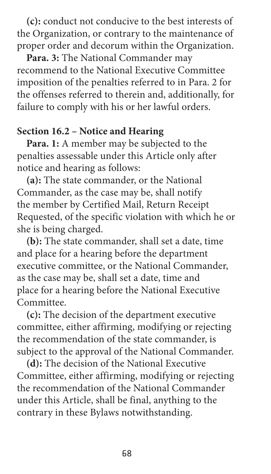**(c):** conduct not conducive to the best interests of the Organization, or contrary to the maintenance of proper order and decorum within the Organization.

**Para. 3:** The National Commander may recommend to the National Executive Committee imposition of the penalties referred to in Para. 2 for the offenses referred to therein and, additionally, for failure to comply with his or her lawful orders.

#### **Section 16.2 – Notice and Hearing**

**Para. 1:** A member may be subjected to the penalties assessable under this Article only after notice and hearing as follows:

**(a):** The state commander, or the National Commander, as the case may be, shall notify the member by Certified Mail, Return Receipt Requested, of the specific violation with which he or she is being charged.

**(b):** The state commander, shall set a date, time and place for a hearing before the department executive committee, or the National Commander, as the case may be, shall set a date, time and place for a hearing before the National Executive Committee.

**(c):** The decision of the department executive committee, either affirming, modifying or rejecting the recommendation of the state commander, is subject to the approval of the National Commander.

**(d):** The decision of the National Executive Committee, either affirming, modifying or rejecting the recommendation of the National Commander under this Article, shall be final, anything to the contrary in these Bylaws notwithstanding.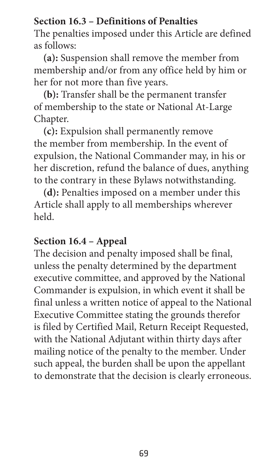## **Section 16.3 – Definitions of Penalties**

The penalties imposed under this Article are defined as follows:

**(a):** Suspension shall remove the member from membership and/or from any office held by him or her for not more than five years.

**(b):** Transfer shall be the permanent transfer of membership to the state or National At-Large Chapter.

**(c):** Expulsion shall permanently remove the member from membership. In the event of expulsion, the National Commander may, in his or her discretion, refund the balance of dues, anything to the contrary in these Bylaws notwithstanding.

**(d):** Penalties imposed on a member under this Article shall apply to all memberships wherever held.

#### **Section 16.4 – Appeal**

The decision and penalty imposed shall be final, unless the penalty determined by the department executive committee, and approved by the National Commander is expulsion, in which event it shall be final unless a written notice of appeal to the National Executive Committee stating the grounds therefor is filed by Certified Mail, Return Receipt Requested, with the National Adjutant within thirty days after mailing notice of the penalty to the member. Under such appeal, the burden shall be upon the appellant to demonstrate that the decision is clearly erroneous.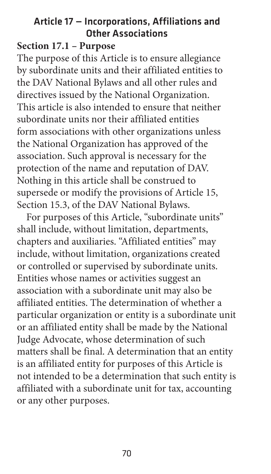# Article 17 — Incorporations, Affiliations and Other Associations

#### **Section 17.1 – Purpose**

The purpose of this Article is to ensure allegiance by subordinate units and their affiliated entities to the DAV National Bylaws and all other rules and directives issued by the National Organization. This article is also intended to ensure that neither subordinate units nor their affiliated entities form associations with other organizations unless the National Organization has approved of the association. Such approval is necessary for the protection of the name and reputation of DAV. Nothing in this article shall be construed to supersede or modify the provisions of Article 15, Section 15.3, of the DAV National Bylaws.

For purposes of this Article, "subordinate units" shall include, without limitation, departments, chapters and auxiliaries. "Affiliated entities" may include, without limitation, organizations created or controlled or supervised by subordinate units. Entities whose names or activities suggest an association with a subordinate unit may also be affiliated entities. The determination of whether a particular organization or entity is a subordinate unit or an affiliated entity shall be made by the National Judge Advocate, whose determination of such matters shall be final. A determination that an entity is an affiliated entity for purposes of this Article is not intended to be a determination that such entity is affiliated with a subordinate unit for tax, accounting or any other purposes.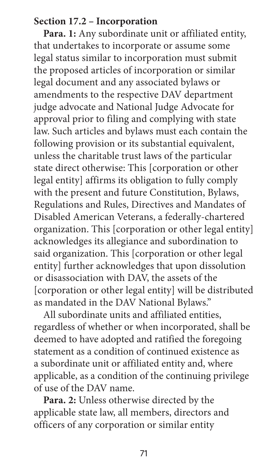#### **Section 17.2 – Incorporation**

Para. 1: Any subordinate unit or affiliated entity, that undertakes to incorporate or assume some legal status similar to incorporation must submit the proposed articles of incorporation or similar legal document and any associated bylaws or amendments to the respective DAV department judge advocate and National Judge Advocate for approval prior to filing and complying with state law. Such articles and bylaws must each contain the following provision or its substantial equivalent, unless the charitable trust laws of the particular state direct otherwise: This [corporation or other legal entity] affirms its obligation to fully comply with the present and future Constitution, Bylaws, Regulations and Rules, Directives and Mandates of Disabled American Veterans, a federally-chartered organization. This [corporation or other legal entity] acknowledges its allegiance and subordination to said organization. This [corporation or other legal entity] further acknowledges that upon dissolution or disassociation with DAV, the assets of the [corporation or other legal entity] will be distributed as mandated in the DAV National Bylaws."

All subordinate units and affiliated entities, regardless of whether or when incorporated, shall be deemed to have adopted and ratified the foregoing statement as a condition of continued existence as a subordinate unit or affiliated entity and, where applicable, as a condition of the continuing privilege of use of the DAV name.

**Para. 2:** Unless otherwise directed by the applicable state law, all members, directors and officers of any corporation or similar entity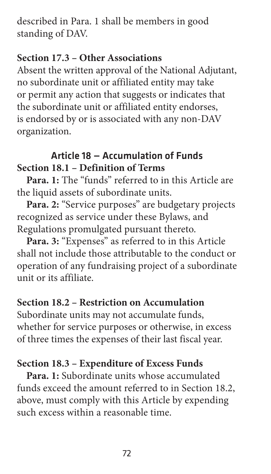described in Para. 1 shall be members in good standing of DAV.

# **Section 17.3 – Other Associations**

Absent the written approval of the National Adjutant, no subordinate unit or affiliated entity may take or permit any action that suggests or indicates that the subordinate unit or affiliated entity endorses, is endorsed by or is associated with any non-DAV organization.

# Article 18 — Accumulation of Funds **Section 18.1 – Definition of Terms**

**Para. 1:** The "funds" referred to in this Article are the liquid assets of subordinate units.

Para. 2: "Service purposes" are budgetary projects recognized as service under these Bylaws, and Regulations promulgated pursuant thereto.

Para. 3: "Expenses" as referred to in this Article shall not include those attributable to the conduct or operation of any fundraising project of a subordinate unit or its affiliate.

# **Section 18.2 – Restriction on Accumulation**

Subordinate units may not accumulate funds, whether for service purposes or otherwise, in excess of three times the expenses of their last fiscal year.

# **Section 18.3 – Expenditure of Excess Funds**

**Para. 1:** Subordinate units whose accumulated funds exceed the amount referred to in Section 18.2, above, must comply with this Article by expending such excess within a reasonable time.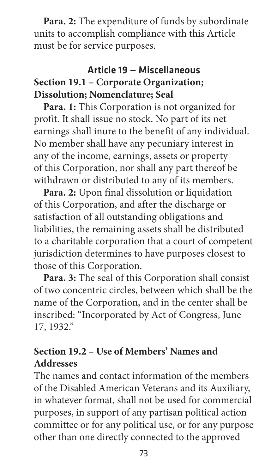**Para. 2:** The expenditure of funds by subordinate units to accomplish compliance with this Article must be for service purposes.

# Article 19 — Miscellaneous **Section 19.1 – Corporate Organization; Dissolution; Nomenclature; Seal**

**Para. 1:** This Corporation is not organized for profit. It shall issue no stock. No part of its net earnings shall inure to the benefit of any individual. No member shall have any pecuniary interest in any of the income, earnings, assets or property of this Corporation, nor shall any part thereof be withdrawn or distributed to any of its members.

**Para. 2:** Upon final dissolution or liquidation of this Corporation, and after the discharge or satisfaction of all outstanding obligations and liabilities, the remaining assets shall be distributed to a charitable corporation that a court of competent jurisdiction determines to have purposes closest to those of this Corporation.

**Para. 3:** The seal of this Corporation shall consist of two concentric circles, between which shall be the name of the Corporation, and in the center shall be inscribed: "Incorporated by Act of Congress, June 17, 1932."

# **Section 19.2 – Use of Members' Names and Addresses**

The names and contact information of the members of the Disabled American Veterans and its Auxiliary, in whatever format, shall not be used for commercial purposes, in support of any partisan political action committee or for any political use, or for any purpose other than one directly connected to the approved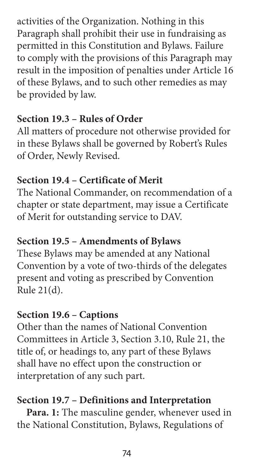activities of the Organization. Nothing in this Paragraph shall prohibit their use in fundraising as permitted in this Constitution and Bylaws. Failure to comply with the provisions of this Paragraph may result in the imposition of penalties under Article 16 of these Bylaws, and to such other remedies as may be provided by law.

# **Section 19.3 – Rules of Order**

All matters of procedure not otherwise provided for in these Bylaws shall be governed by Robert's Rules of Order, Newly Revised.

# **Section 19.4 – Certificate of Merit**

The National Commander, on recommendation of a chapter or state department, may issue a Certificate of Merit for outstanding service to DAV.

# **Section 19.5 – Amendments of Bylaws**

These Bylaws may be amended at any National Convention by a vote of two-thirds of the delegates present and voting as prescribed by Convention Rule 21(d).

# **Section 19.6 – Captions**

Other than the names of National Convention Committees in Article 3, Section 3.10, Rule 21, the title of, or headings to, any part of these Bylaws shall have no effect upon the construction or interpretation of any such part.

# **Section 19.7 – Definitions and Interpretation**

**Para. 1:** The masculine gender, whenever used in the National Constitution, Bylaws, Regulations of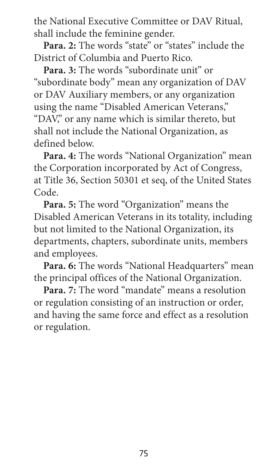the National Executive Committee or DAV Ritual, shall include the feminine gender.

Para. 2: The words "state" or "states" include the District of Columbia and Puerto Rico.

Para. 3: The words "subordinate unit" or "subordinate body" mean any organization of DAV or DAV Auxiliary members, or any organization using the name "Disabled American Veterans," "DAV," or any name which is similar thereto, but shall not include the National Organization, as defined below.

**Para. 4:** The words "National Organization" mean the Corporation incorporated by Act of Congress, at Title 36, Section 50301 et seq, of the United States Code.

**Para. 5:** The word "Organization" means the Disabled American Veterans in its totality, including but not limited to the National Organization, its departments, chapters, subordinate units, members and employees.

Para. 6: The words "National Headquarters" mean the principal offices of the National Organization.

**Para. 7:** The word "mandate" means a resolution or regulation consisting of an instruction or order, and having the same force and effect as a resolution or regulation.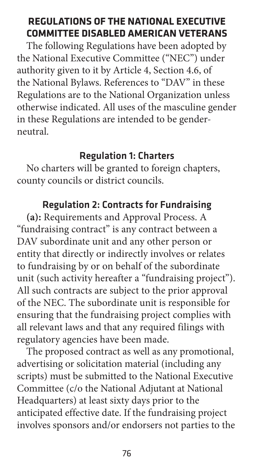## **REGULATIONS OF THE NATIONAL EXECUTIVE COMMITTEE DISABLED AMERICAN VETERANS**

The following Regulations have been adopted by the National Executive Committee ("NEC") under authority given to it by Article 4, Section 4.6, of the National Bylaws. References to "DAV" in these Regulations are to the National Organization unless otherwise indicated. All uses of the masculine gender in these Regulations are intended to be genderneutral.

## Regulation 1: Charters

No charters will be granted to foreign chapters, county councils or district councils.

# Regulation 2: Contracts for Fundraising

**(a):** Requirements and Approval Process. A "fundraising contract" is any contract between a DAV subordinate unit and any other person or entity that directly or indirectly involves or relates to fundraising by or on behalf of the subordinate unit (such activity hereafter a "fundraising project"). All such contracts are subject to the prior approval of the NEC. The subordinate unit is responsible for ensuring that the fundraising project complies with all relevant laws and that any required filings with regulatory agencies have been made.

The proposed contract as well as any promotional, advertising or solicitation material (including any scripts) must be submitted to the National Executive Committee (c/o the National Adjutant at National Headquarters) at least sixty days prior to the anticipated effective date. If the fundraising project involves sponsors and/or endorsers not parties to the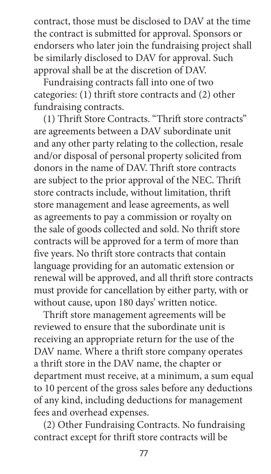contract, those must be disclosed to DAV at the time the contract is submitted for approval. Sponsors or endorsers who later join the fundraising project shall be similarly disclosed to DAV for approval. Such approval shall be at the discretion of DAV.

Fundraising contracts fall into one of two categories: (1) thrift store contracts and (2) other fundraising contracts.

(1) Thrift Store Contracts. "Thrift store contracts" are agreements between a DAV subordinate unit and any other party relating to the collection, resale and/or disposal of personal property solicited from donors in the name of DAV. Thrift store contracts are subject to the prior approval of the NEC. Thrift store contracts include, without limitation, thrift store management and lease agreements, as well as agreements to pay a commission or royalty on the sale of goods collected and sold. No thrift store contracts will be approved for a term of more than five years. No thrift store contracts that contain language providing for an automatic extension or renewal will be approved, and all thrift store contracts must provide for cancellation by either party, with or without cause, upon 180 days' written notice.

Thrift store management agreements will be reviewed to ensure that the subordinate unit is receiving an appropriate return for the use of the DAV name. Where a thrift store company operates a thrift store in the DAV name, the chapter or department must receive, at a minimum, a sum equal to 10 percent of the gross sales before any deductions of any kind, including deductions for management fees and overhead expenses.

(2) Other Fundraising Contracts. No fundraising contract except for thrift store contracts will be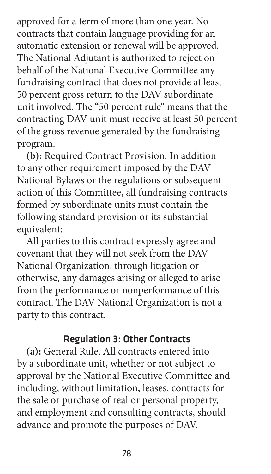approved for a term of more than one year. No contracts that contain language providing for an automatic extension or renewal will be approved. The National Adjutant is authorized to reject on behalf of the National Executive Committee any fundraising contract that does not provide at least 50 percent gross return to the DAV subordinate unit involved. The "50 percent rule" means that the contracting DAV unit must receive at least 50 percent of the gross revenue generated by the fundraising program.

**(b):** Required Contract Provision. In addition to any other requirement imposed by the DAV National Bylaws or the regulations or subsequent action of this Committee, all fundraising contracts formed by subordinate units must contain the following standard provision or its substantial equivalent:

All parties to this contract expressly agree and covenant that they will not seek from the DAV National Organization, through litigation or otherwise, any damages arising or alleged to arise from the performance or nonperformance of this contract. The DAV National Organization is not a party to this contract.

#### Regulation 3: Other Contracts

**(a):** General Rule. All contracts entered into by a subordinate unit, whether or not subject to approval by the National Executive Committee and including, without limitation, leases, contracts for the sale or purchase of real or personal property, and employment and consulting contracts, should advance and promote the purposes of DAV.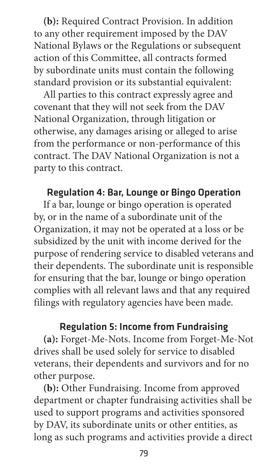**(b):** Required Contract Provision. In addition to any other requirement imposed by the DAV National Bylaws or the Regulations or subsequent action of this Committee, all contracts formed by subordinate units must contain the following standard provision or its substantial equivalent:

All parties to this contract expressly agree and covenant that they will not seek from the DAV National Organization, through litigation or otherwise, any damages arising or alleged to arise from the performance or non-performance of this contract. The DAV National Organization is not a party to this contract.

# Regulation 4: Bar, Lounge or Bingo Operation

If a bar, lounge or bingo operation is operated by, or in the name of a subordinate unit of the Organization, it may not be operated at a loss or be subsidized by the unit with income derived for the purpose of rendering service to disabled veterans and their dependents. The subordinate unit is responsible for ensuring that the bar, lounge or bingo operation complies with all relevant laws and that any required filings with regulatory agencies have been made.

## Regulation 5: Income from Fundraising

**(a):** Forget-Me-Nots. Income from Forget-Me-Not drives shall be used solely for service to disabled veterans, their dependents and survivors and for no other purpose.

**(b):** Other Fundraising. Income from approved department or chapter fundraising activities shall be used to support programs and activities sponsored by DAV, its subordinate units or other entities, as long as such programs and activities provide a direct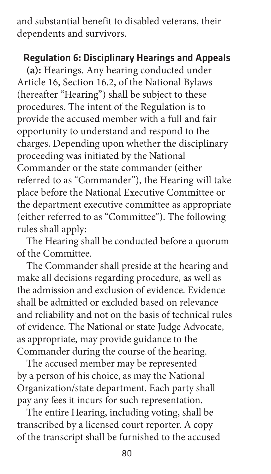and substantial benefit to disabled veterans, their dependents and survivors.

#### Regulation 6: Disciplinary Hearings and Appeals

**(a):** Hearings. Any hearing conducted under Article 16, Section 16.2, of the National Bylaws (hereafter "Hearing") shall be subject to these procedures. The intent of the Regulation is to provide the accused member with a full and fair opportunity to understand and respond to the charges. Depending upon whether the disciplinary proceeding was initiated by the National Commander or the state commander (either referred to as "Commander"), the Hearing will take place before the National Executive Committee or the department executive committee as appropriate (either referred to as "Committee"). The following rules shall apply:

The Hearing shall be conducted before a quorum of the Committee.

The Commander shall preside at the hearing and make all decisions regarding procedure, as well as the admission and exclusion of evidence. Evidence shall be admitted or excluded based on relevance and reliability and not on the basis of technical rules of evidence. The National or state Judge Advocate, as appropriate, may provide guidance to the Commander during the course of the hearing.

The accused member may be represented by a person of his choice, as may the National Organization/state department. Each party shall pay any fees it incurs for such representation.

The entire Hearing, including voting, shall be transcribed by a licensed court reporter. A copy of the transcript shall be furnished to the accused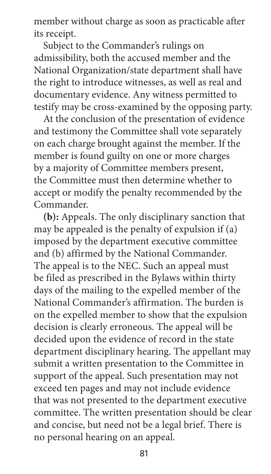member without charge as soon as practicable after its receipt.

Subject to the Commander's rulings on admissibility, both the accused member and the National Organization/state department shall have the right to introduce witnesses, as well as real and documentary evidence. Any witness permitted to testify may be cross-examined by the opposing party.

At the conclusion of the presentation of evidence and testimony the Committee shall vote separately on each charge brought against the member. If the member is found guilty on one or more charges by a majority of Committee members present, the Committee must then determine whether to accept or modify the penalty recommended by the Commander.

**(b):** Appeals. The only disciplinary sanction that may be appealed is the penalty of expulsion if (a) imposed by the department executive committee and (b) affirmed by the National Commander. The appeal is to the NEC. Such an appeal must be filed as prescribed in the Bylaws within thirty days of the mailing to the expelled member of the National Commander's affirmation. The burden is on the expelled member to show that the expulsion decision is clearly erroneous. The appeal will be decided upon the evidence of record in the state department disciplinary hearing. The appellant may submit a written presentation to the Committee in support of the appeal. Such presentation may not exceed ten pages and may not include evidence that was not presented to the department executive committee. The written presentation should be clear and concise, but need not be a legal brief. There is no personal hearing on an appeal.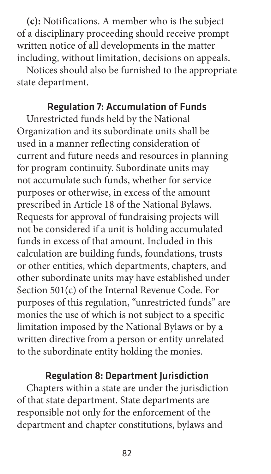**(c):** Notifications. A member who is the subject of a disciplinary proceeding should receive prompt written notice of all developments in the matter including, without limitation, decisions on appeals.

Notices should also be furnished to the appropriate state department.

#### Regulation 7: Accumulation of Funds

Unrestricted funds held by the National Organization and its subordinate units shall be used in a manner reflecting consideration of current and future needs and resources in planning for program continuity. Subordinate units may not accumulate such funds, whether for service purposes or otherwise, in excess of the amount prescribed in Article 18 of the National Bylaws. Requests for approval of fundraising projects will not be considered if a unit is holding accumulated funds in excess of that amount. Included in this calculation are building funds, foundations, trusts or other entities, which departments, chapters, and other subordinate units may have established under Section 501(c) of the Internal Revenue Code. For purposes of this regulation, "unrestricted funds" are monies the use of which is not subject to a specific limitation imposed by the National Bylaws or by a written directive from a person or entity unrelated to the subordinate entity holding the monies.

#### Regulation 8: Department Jurisdiction

Chapters within a state are under the jurisdiction of that state department. State departments are responsible not only for the enforcement of the department and chapter constitutions, bylaws and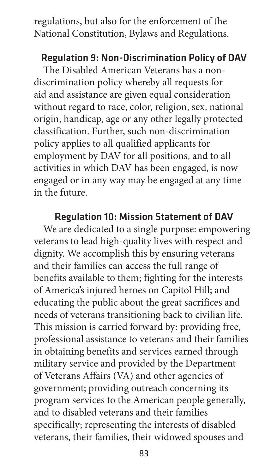regulations, but also for the enforcement of the National Constitution, Bylaws and Regulations.

#### Regulation 9: Non-Discrimination Policy of DAV

The Disabled American Veterans has a nondiscrimination policy whereby all requests for aid and assistance are given equal consideration without regard to race, color, religion, sex, national origin, handicap, age or any other legally protected classification. Further, such non-discrimination policy applies to all qualified applicants for employment by DAV for all positions, and to all activities in which DAV has been engaged, is now engaged or in any way may be engaged at any time in the future.

#### Regulation 10: Mission Statement of DAV

We are dedicated to a single purpose: empowering veterans to lead high-quality lives with respect and dignity. We accomplish this by ensuring veterans and their families can access the full range of benefits available to them; fighting for the interests of America's injured heroes on Capitol Hill; and educating the public about the great sacrifices and needs of veterans transitioning back to civilian life. This mission is carried forward by: providing free, professional assistance to veterans and their families in obtaining benefits and services earned through military service and provided by the Department of Veterans Affairs (VA) and other agencies of government; providing outreach concerning its program services to the American people generally, and to disabled veterans and their families specifically; representing the interests of disabled veterans, their families, their widowed spouses and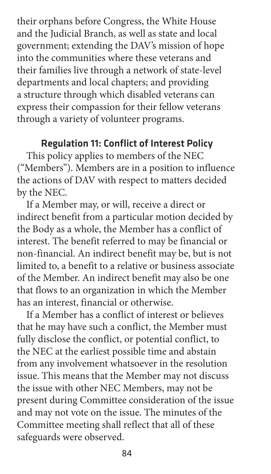their orphans before Congress, the White House and the Judicial Branch, as well as state and local government; extending the DAV's mission of hope into the communities where these veterans and their families live through a network of state-level departments and local chapters; and providing a structure through which disabled veterans can express their compassion for their fellow veterans through a variety of volunteer programs.

#### Regulation 11: Conflict of Interest Policy

This policy applies to members of the NEC ("Members"). Members are in a position to influence the actions of DAV with respect to matters decided by the NEC.

If a Member may, or will, receive a direct or indirect benefit from a particular motion decided by the Body as a whole, the Member has a conflict of interest. The benefit referred to may be financial or non-financial. An indirect benefit may be, but is not limited to, a benefit to a relative or business associate of the Member. An indirect benefit may also be one that flows to an organization in which the Member has an interest, financial or otherwise.

If a Member has a conflict of interest or believes that he may have such a conflict, the Member must fully disclose the conflict, or potential conflict, to the NEC at the earliest possible time and abstain from any involvement whatsoever in the resolution issue. This means that the Member may not discuss the issue with other NEC Members, may not be present during Committee consideration of the issue and may not vote on the issue. The minutes of the Committee meeting shall reflect that all of these safeguards were observed.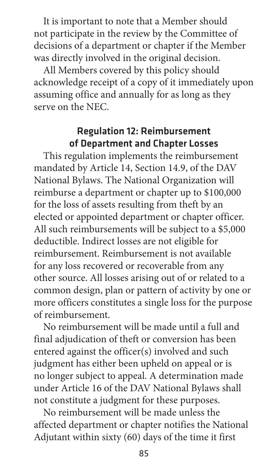It is important to note that a Member should not participate in the review by the Committee of decisions of a department or chapter if the Member was directly involved in the original decision.

All Members covered by this policy should acknowledge receipt of a copy of it immediately upon assuming office and annually for as long as they serve on the NEC.

## Regulation 12: Reimbursement of Department and Chapter Losses

This regulation implements the reimbursement mandated by Article 14, Section 14.9, of the DAV National Bylaws. The National Organization will reimburse a department or chapter up to \$100,000 for the loss of assets resulting from theft by an elected or appointed department or chapter officer. All such reimbursements will be subject to a \$5,000 deductible. Indirect losses are not eligible for reimbursement. Reimbursement is not available for any loss recovered or recoverable from any other source. All losses arising out of or related to a common design, plan or pattern of activity by one or more officers constitutes a single loss for the purpose of reimbursement.

No reimbursement will be made until a full and final adjudication of theft or conversion has been entered against the officer(s) involved and such judgment has either been upheld on appeal or is no longer subject to appeal. A determination made under Article 16 of the DAV National Bylaws shall not constitute a judgment for these purposes.

No reimbursement will be made unless the affected department or chapter notifies the National Adjutant within sixty (60) days of the time it first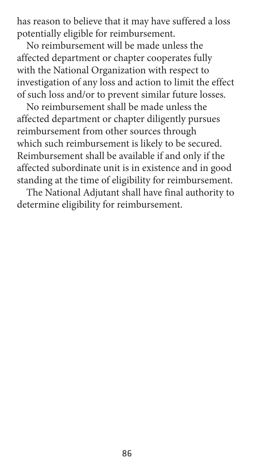has reason to believe that it may have suffered a loss potentially eligible for reimbursement.

No reimbursement will be made unless the affected department or chapter cooperates fully with the National Organization with respect to investigation of any loss and action to limit the effect of such loss and/or to prevent similar future losses.

No reimbursement shall be made unless the affected department or chapter diligently pursues reimbursement from other sources through which such reimbursement is likely to be secured. Reimbursement shall be available if and only if the affected subordinate unit is in existence and in good standing at the time of eligibility for reimbursement.

The National Adjutant shall have final authority to determine eligibility for reimbursement.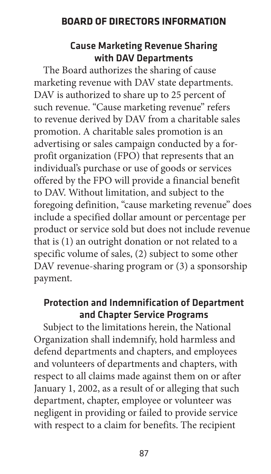#### **BOARD OF DIRECTORS INFORMATION**

#### Cause Marketing Revenue Sharing with DAV Departments

The Board authorizes the sharing of cause marketing revenue with DAV state departments. DAV is authorized to share up to 25 percent of such revenue. "Cause marketing revenue" refers to revenue derived by DAV from a charitable sales promotion. A charitable sales promotion is an advertising or sales campaign conducted by a forprofit organization (FPO) that represents that an individual's purchase or use of goods or services offered by the FPO will provide a financial benefit to DAV. Without limitation, and subject to the foregoing definition, "cause marketing revenue" does include a specified dollar amount or percentage per product or service sold but does not include revenue that is (1) an outright donation or not related to a specific volume of sales, (2) subject to some other DAV revenue-sharing program or (3) a sponsorship payment.

#### Protection and Indemnification of Department and Chapter Service Programs

Subject to the limitations herein, the National Organization shall indemnify, hold harmless and defend departments and chapters, and employees and volunteers of departments and chapters, with respect to all claims made against them on or after January 1, 2002, as a result of or alleging that such department, chapter, employee or volunteer was negligent in providing or failed to provide service with respect to a claim for benefits. The recipient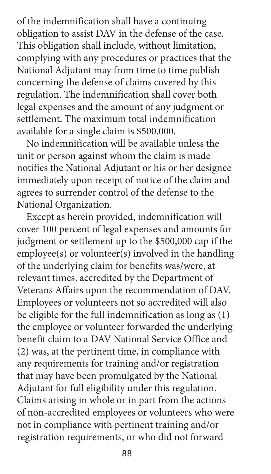of the indemnification shall have a continuing obligation to assist DAV in the defense of the case. This obligation shall include, without limitation, complying with any procedures or practices that the National Adjutant may from time to time publish concerning the defense of claims covered by this regulation. The indemnification shall cover both legal expenses and the amount of any judgment or settlement. The maximum total indemnification available for a single claim is \$500,000.

No indemnification will be available unless the unit or person against whom the claim is made notifies the National Adjutant or his or her designee immediately upon receipt of notice of the claim and agrees to surrender control of the defense to the National Organization.

Except as herein provided, indemnification will cover 100 percent of legal expenses and amounts for judgment or settlement up to the \$500,000 cap if the employee(s) or volunteer(s) involved in the handling of the underlying claim for benefits was/were, at relevant times, accredited by the Department of Veterans Affairs upon the recommendation of DAV. Employees or volunteers not so accredited will also be eligible for the full indemnification as long as (1) the employee or volunteer forwarded the underlying benefit claim to a DAV National Service Office and (2) was, at the pertinent time, in compliance with any requirements for training and/or registration that may have been promulgated by the National Adjutant for full eligibility under this regulation. Claims arising in whole or in part from the actions of non-accredited employees or volunteers who were not in compliance with pertinent training and/or registration requirements, or who did not forward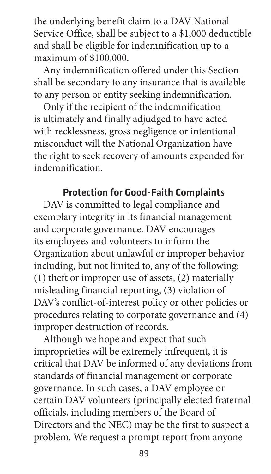the underlying benefit claim to a DAV National Service Office, shall be subject to a \$1,000 deductible and shall be eligible for indemnification up to a maximum of \$100,000.

Any indemnification offered under this Section shall be secondary to any insurance that is available to any person or entity seeking indemnification.

Only if the recipient of the indemnification is ultimately and finally adjudged to have acted with recklessness, gross negligence or intentional misconduct will the National Organization have the right to seek recovery of amounts expended for indemnification.

#### Protection for Good-Faith Complaints

DAV is committed to legal compliance and exemplary integrity in its financial management and corporate governance. DAV encourages its employees and volunteers to inform the Organization about unlawful or improper behavior including, but not limited to, any of the following: (1) theft or improper use of assets, (2) materially misleading financial reporting, (3) violation of DAV's conflict-of-interest policy or other policies or procedures relating to corporate governance and (4) improper destruction of records.

Although we hope and expect that such improprieties will be extremely infrequent, it is critical that DAV be informed of any deviations from standards of financial management or corporate governance. In such cases, a DAV employee or certain DAV volunteers (principally elected fraternal officials, including members of the Board of Directors and the NEC) may be the first to suspect a problem. We request a prompt report from anyone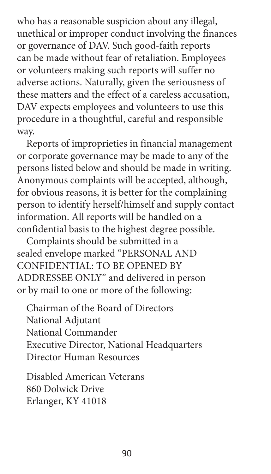who has a reasonable suspicion about any illegal, unethical or improper conduct involving the finances or governance of DAV. Such good-faith reports can be made without fear of retaliation. Employees or volunteers making such reports will suffer no adverse actions. Naturally, given the seriousness of these matters and the effect of a careless accusation, DAV expects employees and volunteers to use this procedure in a thoughtful, careful and responsible way.

Reports of improprieties in financial management or corporate governance may be made to any of the persons listed below and should be made in writing. Anonymous complaints will be accepted, although, for obvious reasons, it is better for the complaining person to identify herself/himself and supply contact information. All reports will be handled on a confidential basis to the highest degree possible.

Complaints should be submitted in a sealed envelope marked "PERSONAL AND CONFIDENTIAL: TO BE OPENED BY ADDRESSEE ONLY" and delivered in person or by mail to one or more of the following:

Chairman of the Board of Directors National Adjutant National Commander Executive Director, National Headquarters Director Human Resources

Disabled American Veterans 860 Dolwick Drive Erlanger, KY 41018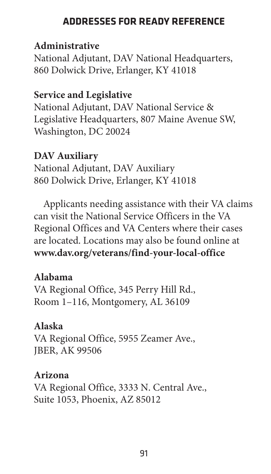# **ADDRESSES FOR READY REFERENCE**

## **Administrative**

National Adjutant, DAV National Headquarters, 860 Dolwick Drive, Erlanger, KY 41018

# **Service and Legislative**

National Adjutant, DAV National Service & Legislative Headquarters, 807 Maine Avenue SW, Washington, DC 20024

# **DAV Auxiliary**

National Adjutant, DAV Auxiliary 860 Dolwick Drive, Erlanger, KY 41018

Applicants needing assistance with their VA claims can visit the National Service Officers in the VA Regional Offices and VA Centers where their cases are located. Locations may also be found online at **[www.dav.org/veterans/find-your-local-office](https://www.dav.org/veterans/find-your-local-office)**

## **Alabama**

VA Regional Office, 345 Perry Hill Rd., Room 1–116, Montgomery, AL 36109

# **Alaska**

VA Regional Office, 5955 Zeamer Ave., JBER, AK 99506

# **Arizona**

VA Regional Office, 3333 N. Central Ave., Suite 1053, Phoenix, AZ 85012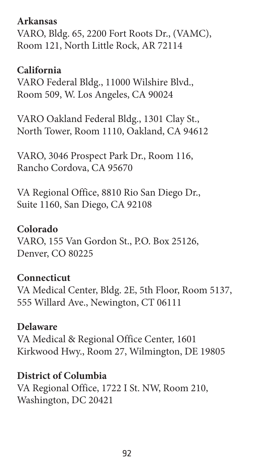#### **Arkansas**

VARO, Bldg. 65, 2200 Fort Roots Dr., (VAMC), Room 121, North Little Rock, AR 72114

#### **California**

VARO Federal Bldg., 11000 Wilshire Blvd., Room 509, W. Los Angeles, CA 90024

VARO Oakland Federal Bldg., 1301 Clay St., North Tower, Room 1110, Oakland, CA 94612

VARO, 3046 Prospect Park Dr., Room 116, Rancho Cordova, CA 95670

VA Regional Office, 8810 Rio San Diego Dr., Suite 1160, San Diego, CA 92108

#### **Colorado**

VARO, 155 Van Gordon St., P.O. Box 25126, Denver, CO 80225

#### **Connecticut**

VA Medical Center, Bldg. 2E, 5th Floor, Room 5137, 555 Willard Ave., Newington, CT 06111

#### **Delaware**

VA Medical & Regional Office Center, 1601 Kirkwood Hwy., Room 27, Wilmington, DE 19805

#### **District of Columbia**

VA Regional Office, 1722 I St. NW, Room 210, Washington, DC 20421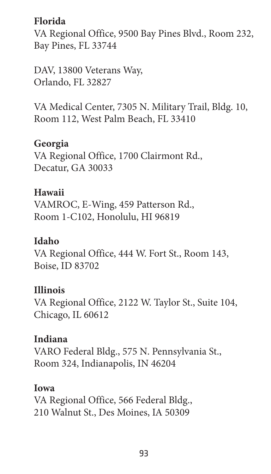# **Florida**

VA Regional Office, 9500 Bay Pines Blvd., Room 232, Bay Pines, FL 33744

DAV, 13800 Veterans Way, Orlando, FL 32827

VA Medical Center, 7305 N. Military Trail, Bldg. 10, Room 112, West Palm Beach, FL 33410

# **Georgia**

VA Regional Office, 1700 Clairmont Rd., Decatur, GA 30033

# **Hawaii**

VAMROC, E-Wing, 459 Patterson Rd., Room 1-C102, Honolulu, HI 96819

## **Idaho**

VA Regional Office, 444 W. Fort St., Room 143, Boise, ID 83702

# **Illinois**

VA Regional Office, 2122 W. Taylor St., Suite 104, Chicago, IL 60612

# **Indiana**

VARO Federal Bldg., 575 N. Pennsylvania St., Room 324, Indianapolis, IN 46204

## **Iowa**

VA Regional Office, 566 Federal Bldg., 210 Walnut St., Des Moines, IA 50309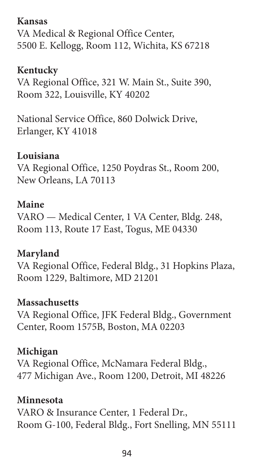## **Kansas**

VA Medical & Regional Office Center, 5500 E. Kellogg, Room 112, Wichita, KS 67218

# **Kentucky**

VA Regional Office, 321 W. Main St., Suite 390, Room 322, Louisville, KY 40202

National Service Office, 860 Dolwick Drive, Erlanger, KY 41018

# **Louisiana**

VA Regional Office, 1250 Poydras St., Room 200, New Orleans, LA 70113

# **Maine**

VARO — Medical Center, 1 VA Center, Bldg. 248, Room 113, Route 17 East, Togus, ME 04330

# **Maryland**

VA Regional Office, Federal Bldg., 31 Hopkins Plaza, Room 1229, Baltimore, MD 21201

# **Massachusetts**

VA Regional Office, JFK Federal Bldg., Government Center, Room 1575B, Boston, MA 02203

# **Michigan**

VA Regional Office, McNamara Federal Bldg., 477 Michigan Ave., Room 1200, Detroit, MI 48226

# **Minnesota**

VARO & Insurance Center, 1 Federal Dr., Room G-100, Federal Bldg., Fort Snelling, MN 55111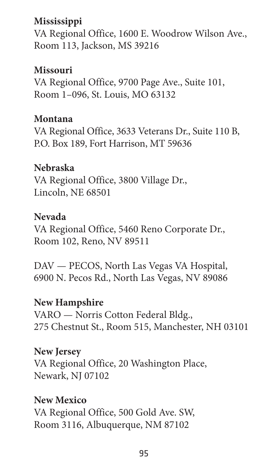# **Mississippi**

VA Regional Office, 1600 E. Woodrow Wilson Ave., Room 113, Jackson, MS 39216

# **Missouri**

VA Regional Office, 9700 Page Ave., Suite 101, Room 1–096, St. Louis, MO 63132

#### **Montana**

VA Regional Office, 3633 Veterans Dr., Suite 110 B, P.O. Box 189, Fort Harrison, MT 59636

#### **Nebraska**

VA Regional Office, 3800 Village Dr., Lincoln, NE 68501

#### **Nevada**

VA Regional Office, 5460 Reno Corporate Dr., Room 102, Reno, NV 89511

DAV — PECOS, North Las Vegas VA Hospital, 6900 N. Pecos Rd., North Las Vegas, NV 89086

## **New Hampshire**

VARO — Norris Cotton Federal Bldg., 275 Chestnut St., Room 515, Manchester, NH 03101

#### **New Jersey**

VA Regional Office, 20 Washington Place, Newark, NJ 07102

#### **New Mexico**

VA Regional Office, 500 Gold Ave. SW, Room 3116, Albuquerque, NM 87102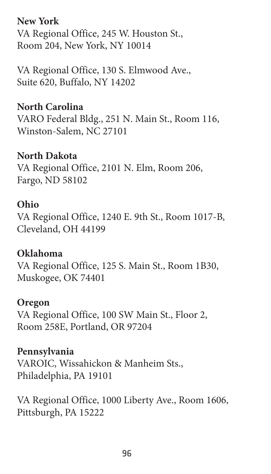**New York**

VA Regional Office, 245 W. Houston St., Room 204, New York, NY 10014

VA Regional Office, 130 S. Elmwood Ave., Suite 620, Buffalo, NY 14202

# **North Carolina**

VARO Federal Bldg., 251 N. Main St., Room 116, Winston-Salem, NC 27101

# **North Dakota**

VA Regional Office, 2101 N. Elm, Room 206, Fargo, ND 58102

## **Ohio**

VA Regional Office, 1240 E. 9th St., Room 1017-B, Cleveland, OH 44199

## **Oklahoma**

VA Regional Office, 125 S. Main St., Room 1B30, Muskogee, OK 74401

#### **Oregon**

VA Regional Office, 100 SW Main St., Floor 2, Room 258E, Portland, OR 97204

## **Pennsylvania**

VAROIC, Wissahickon & Manheim Sts., Philadelphia, PA 19101

VA Regional Office, 1000 Liberty Ave., Room 1606, Pittsburgh, PA 15222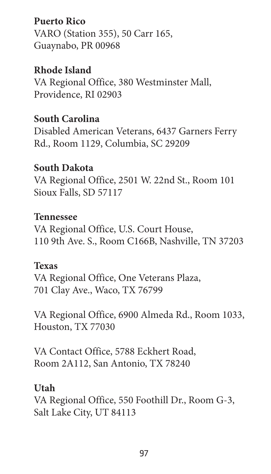**Puerto Rico**

VARO (Station 355), 50 Carr 165, Guaynabo, PR 00968

**Rhode Island**

VA Regional Office, 380 Westminster Mall, Providence, RI 02903

## **South Carolina**

Disabled American Veterans, 6437 Garners Ferry Rd., Room 1129, Columbia, SC 29209

#### **South Dakota**

VA Regional Office, 2501 W. 22nd St., Room 101 Sioux Falls, SD 57117

#### **Tennessee**

VA Regional Office, U.S. Court House, 110 9th Ave. S., Room C166B, Nashville, TN 37203

#### **Texas**

VA Regional Office, One Veterans Plaza, 701 Clay Ave., Waco, TX 76799

VA Regional Office, 6900 Almeda Rd., Room 1033, Houston, TX 77030

VA Contact Office, 5788 Eckhert Road, Room 2A112, San Antonio, TX 78240

#### **Utah**

VA Regional Office, 550 Foothill Dr., Room G-3, Salt Lake City, UT 84113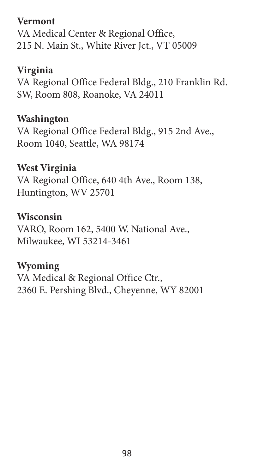# **Vermont**

VA Medical Center & Regional Office, 215 N. Main St., White River Jct., VT 05009

# **Virginia**

VA Regional Office Federal Bldg., 210 Franklin Rd. SW, Room 808, Roanoke, VA 24011

# **Washington**

VA Regional Office Federal Bldg., 915 2nd Ave., Room 1040, Seattle, WA 98174

# **West Virginia**

VA Regional Office, 640 4th Ave., Room 138, Huntington, WV 25701

## **Wisconsin**

VARO, Room 162, 5400 W. National Ave., Milwaukee, WI 53214-3461

## **Wyoming**

VA Medical & Regional Office Ctr., 2360 E. Pershing Blvd., Cheyenne, WY 82001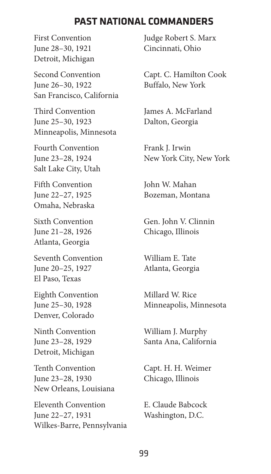#### **PAST NATIONAL COMMANDERS**

June 28–30, 1921 Cincinnati, Ohio Detroit, Michigan

Second Convention Capt. C. Hamilton Cook June 26–30, 1922 Buffalo, New York San Francisco, California

Third Convention **James A. McFarland** June 25–30, 1923 Dalton, Georgia Minneapolis, Minnesota

Fourth Convention Frank J. Irwin Salt Lake City, Utah

Fifth Convention John W. Mahan Omaha, Nebraska

June 21–28, 1926 Chicago, Illinois Atlanta, Georgia

Seventh Convention William E. Tate June 20–25, 1927 Atlanta, Georgia El Paso, Texas

Eighth Convention Millard W. Rice Denver, Colorado

Detroit, Michigan

Tenth Convention Capt. H. H. Weimer June 23–28, 1930 Chicago, Illinois New Orleans, Louisiana

Eleventh Convention E. Claude Babcock June 22–27, 1931 Washington, D.C. Wilkes-Barre, Pennsylvania

First Convention **Judge Robert S. Marx** 

June 23–28, 1924 New York City, New York

June 22–27, 1925 Bozeman, Montana

Sixth Convention Gen. John V. Clinnin

June 25–30, 1928 Minneapolis, Minnesota

Ninth Convention William J. Murphy June 23–28, 1929 Santa Ana, California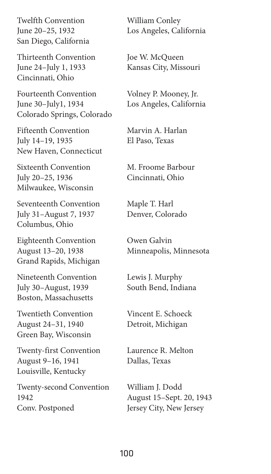Twelfth Convention William Conley San Diego, California

Thirteenth Convention Joe W. McQueen June 24–July 1, 1933 Kansas City, Missouri Cincinnati, Ohio

Fourteenth Convention Volney P. Mooney, Jr. June 30–July1, 1934 Los Angeles, California Colorado Springs, Colorado

Fifteenth Convention Marvin A. Harlan July 14–19, 1935 El Paso, Texas New Haven, Connecticut

Sixteenth Convention M. Froome Barbour July 20–25, 1936 Cincinnati, Ohio Milwaukee, Wisconsin

Seventeenth Convention Maple T. Harl July 31–August 7, 1937 Denver, Colorado Columbus, Ohio

Eighteenth Convention Owen Galvin August 13–20, 1938 Minneapolis, Minnesota Grand Rapids, Michigan

Nineteenth Convention Lewis J. Murphy July 30–August, 1939 South Bend, Indiana Boston, Massachusetts

Twentieth Convention Vincent E. Schoeck August 24–31, 1940 Detroit, Michigan Green Bay, Wisconsin

Twenty-first Convention Laurence R. Melton August 9–16, 1941 Dallas, Texas Louisville, Kentucky

Twenty-second Convention William J. Dodd 1942 August 15–Sept. 20, 1943 Conv. Postponed Jersey City, New Jersey

June 20–25, 1932 Los Angeles, California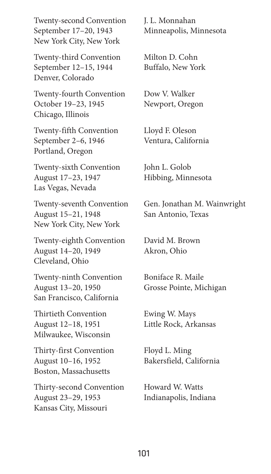Twenty-second Convention J. L. Monnahan September 17–20, 1943 Minneapolis, Minnesota New York City, New York

Twenty-third Convention Milton D. Cohn September 12–15, 1944 Buffalo, New York Denver, Colorado

Twenty-fourth Convention Dow V. Walker October 19–23, 1945 Newport, Oregon Chicago, Illinois

Twenty-fifth Convention Lloyd F. Oleson September 2–6, 1946 Ventura, California Portland, Oregon

Twenty-sixth Convention John L. Golob August 17–23, 1947 Hibbing, Minnesota Las Vegas, Nevada

August 15–21, 1948 San Antonio, Texas New York City, New York

Twenty-eighth Convention David M. Brown August 14–20, 1949 Akron, Ohio Cleveland, Ohio

Twenty-ninth Convention Boniface R. Maile August 13–20, 1950 Grosse Pointe, Michigan San Francisco, California

Thirtieth Convention Ewing W. Mays August 12–18, 1951 Little Rock, Arkansas Milwaukee, Wisconsin

Thirty-first Convention Floyd L. Ming August 10–16, 1952 Bakersfield, California Boston, Massachusetts

Thirty-second Convention Howard W. Watts August 23–29, 1953 Indianapolis, Indiana Kansas City, Missouri

Twenty-seventh Convention Gen. Jonathan M. Wainwright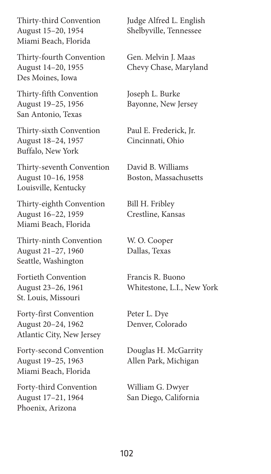August 15–20, 1954 Shelbyville, Tennessee Miami Beach, Florida

Thirty-fourth Convention Gen. Melvin J. Maas August 14–20, 1955 Chevy Chase, Maryland Des Moines, Iowa

Thirty-fifth Convention Joseph L. Burke August 19–25, 1956 Bayonne, New Jersey San Antonio, Texas

Thirty-sixth Convention Paul E. Frederick, Jr. August 18–24, 1957 Cincinnati, Ohio Buffalo, New York

Thirty-seventh Convention David B. Williams August 10–16, 1958 Boston, Massachusetts Louisville, Kentucky

Thirty-eighth Convention Bill H. Fribley August 16–22, 1959 Crestline, Kansas Miami Beach, Florida

Thirty-ninth Convention W. O. Cooper August 21–27, 1960 Dallas, Texas Seattle, Washington

Fortieth Convention Francis R. Buono St. Louis, Missouri

Forty-first Convention Peter L. Dye August 20–24, 1962 Denver, Colorado Atlantic City, New Jersey

Forty-second Convention Douglas H. McGarrity August 19–25, 1963 Allen Park, Michigan Miami Beach, Florida

Forty-third Convention William G. Dwyer August 17–21, 1964 San Diego, California Phoenix, Arizona

Thirty-third Convention Judge Alfred L. English

August 23–26, 1961 Whitestone, L.I., New York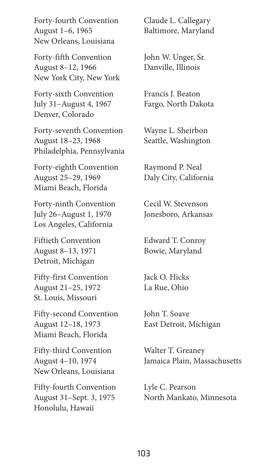Forty-fourth Convention Claude L. Callegary August 1–6, 1965 Baltimore, Maryland New Orleans, Louisiana

Forty-fifth Convention John W. Unger, Sr. August 8–12, 1966 Danville, Illinois New York City, New York

Forty-sixth Convention Francis J. Beaton July 31–August 4, 1967 Fargo, North Dakota Denver, Colorado

Forty-seventh Convention Wayne L. Sheirbon August 18–23, 1968 Seattle, Washington Philadelphia, Pennsylvania

Forty-eighth Convention Raymond P. Neal August 25–29, 1969 Daly City, California Miami Beach, Florida

Forty-ninth Convention Cecil W. Stevenson July 26–August 1, 1970 Jonesboro, Arkansas Los Angeles, California

Fiftieth Convention Edward T. Conroy August 8–13, 1971 Bowie, Maryland Detroit, Michigan

Fifty-first Convention Jack O. Hicks August 21–25, 1972 La Rue, Ohio St. Louis, Missouri

Fifty-second Convention John T. Soave August 12–18, 1973 East Detroit, Michigan Miami Beach, Florida

Fifty-third Convention Walter T. Greaney New Orleans, Louisiana

Fifty-fourth Convention Lyle C. Pearson Honolulu, Hawaii

August 4–10, 1974 Jamaica Plain, Massachusetts

August 31–Sept. 3, 1975 North Mankato, Minnesota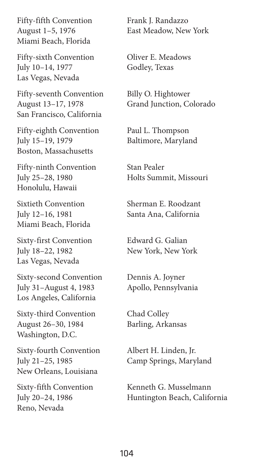Fifty-fifth Convention Frank J. Randazzo Miami Beach, Florida

Fifty-sixth Convention Oliver E. Meadows July 10–14, 1977 Godley, Texas Las Vegas, Nevada

Fifty-seventh Convention Billy O. Hightower August 13–17, 1978 Grand Junction, Colorado San Francisco, California

Fifty-eighth Convention Paul L. Thompson July 15–19, 1979 Baltimore, Maryland Boston, Massachusetts

Fifty-ninth Convention Stan Pealer Honolulu, Hawaii

Sixtieth Convention Sherman E. Roodzant July 12-16, 1981 Santa Ana, California Miami Beach, Florida

Sixty-first Convention Edward G. Galian July 18–22, 1982 New York, New York Las Vegas, Nevada

Sixty-second Convention Dennis A. Joyner July 31–August 4, 1983 Apollo, Pennsylvania Los Angeles, California

Sixty-third Convention Chad Colley August 26–30, 1984 Barling, Arkansas Washington, D.C.

Sixty-fourth Convention Albert H. Linden, Jr. New Orleans, Louisiana

Reno, Nevada

August 1–5, 1976 East Meadow, New York

July 25–28, 1980 Holts Summit, Missouri

July 21–25, 1985 Camp Springs, Maryland

Sixty-fifth Convention Kenneth G. Musselmann July 20–24, 1986 Huntington Beach, California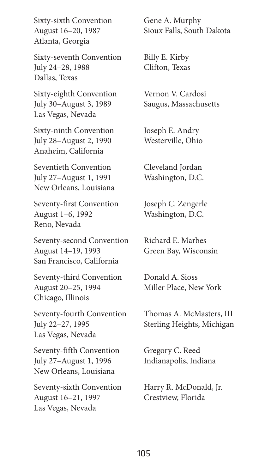Sixty-sixth Convention Gene A. Murphy Atlanta, Georgia

Sixty-seventh Convention Billy E. Kirby July 24–28, 1988 Clifton, Texas Dallas, Texas

Sixty-eighth Convention Vernon V. Cardosi July 30–August 3, 1989 Saugus, Massachusetts Las Vegas, Nevada

Sixty-ninth Convention Joseph E. Andry July 28–August 2, 1990 Westerville, Ohio Anaheim, California

Seventieth Convention Cleveland Jordan July 27–August 1, 1991 Washington, D.C. New Orleans, Louisiana

Seventy-first Convention Joseph C. Zengerle August 1–6, 1992 Washington, D.C. Reno, Nevada

Seventy-second Convention Richard E. Marbes August 14–19, 1993 Green Bay, Wisconsin San Francisco, California

Seventy-third Convention Donald A. Sioss August 20–25, 1994 Miller Place, New York Chicago, Illinois

Seventy-fourth Convention Thomas A. McMasters, III July 22–27, 1995 Sterling Heights, Michigan Las Vegas, Nevada

Seventy-fifth Convention Gregory C. Reed July 27–August 1, 1996 Indianapolis, Indiana New Orleans, Louisiana

Seventy-sixth Convention Harry R. McDonald, Jr. August 16–21, 1997 Crestview, Florida Las Vegas, Nevada

August 16–20, 1987 Sioux Falls, South Dakota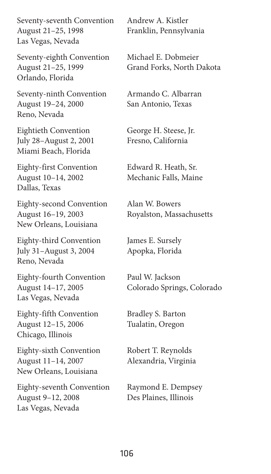Seventy-seventh Convention Andrew A. Kistler August 21–25, 1998 Franklin, Pennsylvania Las Vegas, Nevada

Seventy-eighth Convention Michael E. Dobmeier August 21–25, 1999 Grand Forks, North Dakota Orlando, Florida

Seventy-ninth Convention Armando C. Albarran August 19–24, 2000 San Antonio, Texas Reno, Nevada

Eightieth Convention George H. Steese, Jr. July 28–August 2, 2001 Fresno, California Miami Beach, Florida

Eighty-first Convention Edward R. Heath, Sr. August 10–14, 2002 Mechanic Falls, Maine Dallas, Texas

Eighty-second Convention Alan W. Bowers August 16–19, 2003 Royalston, Massachusetts New Orleans, Louisiana

Eighty-third Convention James E. Sursely July 31–August 3, 2004 Apopka, Florida Reno, Nevada

Eighty-fourth Convention Paul W. Jackson Las Vegas, Nevada

Eighty-fifth Convention Bradley S. Barton August 12–15, 2006 Tualatin, Oregon Chicago, Illinois

Eighty-sixth Convention Robert T. Reynolds August 11–14, 2007 Alexandria, Virginia New Orleans, Louisiana

Eighty-seventh Convention Raymond E. Dempsey August 9–12, 2008 Des Plaines, Illinois Las Vegas, Nevada

August 14–17, 2005 Colorado Springs, Colorado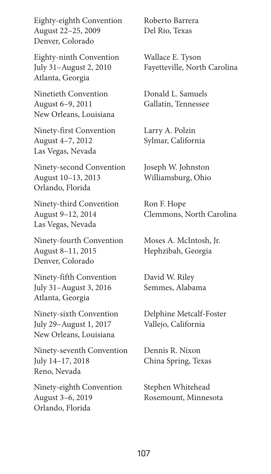Eighty-eighth Convention Roberto Barrera August 22–25, 2009 Del Rio, Texas Denver, Colorado

Eighty-ninth Convention Wallace E. Tyson Atlanta, Georgia

Ninetieth Convention Donald L. Samuels August 6–9, 2011 Gallatin, Tennessee New Orleans, Louisiana

Ninety-first Convention Larry A. Polzin August 4–7, 2012 Sylmar, California Las Vegas, Nevada

Ninety-second Convention Joseph W. Johnston August 10–13, 2013 Williamsburg, Ohio Orlando, Florida

Ninety-third Convention Ron F. Hope Las Vegas, Nevada

Ninety-fourth Convention Moses A. McIntosh, Jr. August 8–11, 2015 Hephzibah, Georgia Denver, Colorado

Ninety-fifth Convention David W. Riley July 31–August 3, 2016 Semmes, Alabama Atlanta, Georgia

July 29–August 1, 2017 Vallejo, California New Orleans, Louisiana

Ninety-seventh Convention Dennis R. Nixon July 14–17, 2018 China Spring, Texas Reno, Nevada

Ninety-eighth Convention Stephen Whitehead August 3–6, 2019 Rosemount, Minnesota Orlando, Florida

July 31–August 2, 2010 Fayetteville, North Carolina

August 9–12, 2014 Clemmons, North Carolina

Ninety-sixth Convention Delphine Metcalf-Foster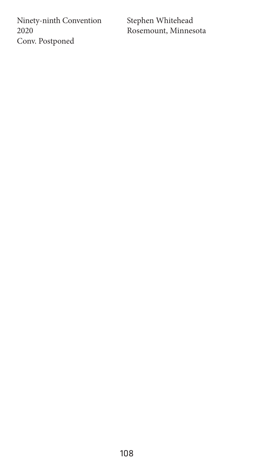Ninety-ninth Convention Stephen Whitehead<br>2020 Rosemount, Minnes Conv. Postponed

Rosemount, Minnesota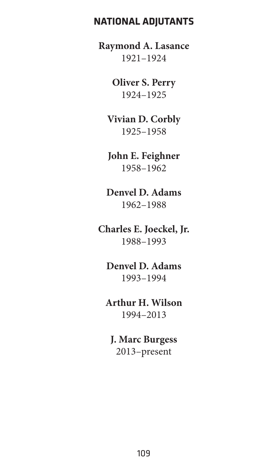#### **NATIONAL ADJUTANTS**

**Raymond A. Lasance** 1921–1924

> **Oliver S. Perry** 1924–1925

**Vivian D. Corbly** 1925–1958

**John E. Feighner** 1958–1962

**Denvel D. Adams** 1962–1988

**Charles E. Joeckel, Jr.** 1988–1993

**Denvel D. Adams** 1993–1994

**Arthur H. Wilson** 1994–2013

**J. Marc Burgess** 2013–present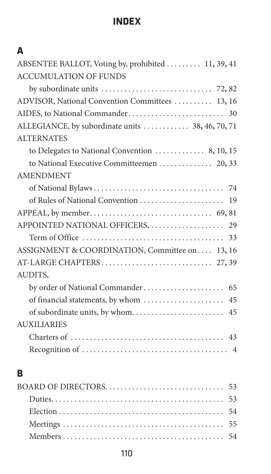### **INDEX**

| A                                                  |
|----------------------------------------------------|
| ABSENTEE BALLOT, Voting by, prohibited  11, 39, 41 |
| <b>ACCUMULATION OF FUNDS</b>                       |
|                                                    |
| ADVISOR, National Convention Committees  13, 16    |
|                                                    |
| ALLEGIANCE, by subordinate units  38, 46, 70, 71   |
| <b>ALTERNATES</b>                                  |
| to Delegates to National Convention  8, 10, 15     |
| to National Executive Committeemen  20, 33         |
| <b>AMENDMENT</b>                                   |
|                                                    |
|                                                    |
|                                                    |
|                                                    |
|                                                    |
| ASSIGNMENT & COORDINATION, Committee on 13, 16     |
|                                                    |
| AUDITS,                                            |
|                                                    |
|                                                    |
|                                                    |
| <b>AUXILIARIES</b>                                 |
|                                                    |
|                                                    |
| в                                                  |
|                                                    |
|                                                    |
|                                                    |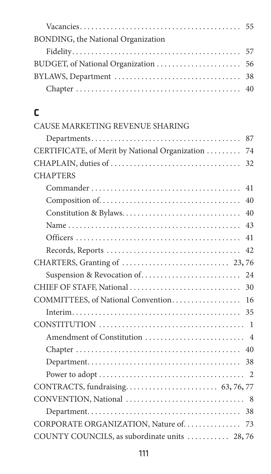| BONDING, the National Organization |  |
|------------------------------------|--|
|                                    |  |
|                                    |  |
|                                    |  |
|                                    |  |

## **C**

| CAUSE MARKETING REVENUE SHARING |
|---------------------------------|
|                                 |

| 87                                                                                                 |
|----------------------------------------------------------------------------------------------------|
| CERTIFICATE, of Merit by National Organization<br>74                                               |
| 32                                                                                                 |
| <b>CHAPTERS</b>                                                                                    |
| 41                                                                                                 |
| 40                                                                                                 |
| 40                                                                                                 |
| 43                                                                                                 |
| 41                                                                                                 |
| $\text{Records}, \text{Reports} \dots \dots \dots \dots \dots \dots \dots \dots \dots \dots$<br>42 |
|                                                                                                    |
| Suspension & Revocation of<br>24                                                                   |
| CHIEF OF STAFF, National<br>30                                                                     |
| COMMITTEES, of National Convention 16                                                              |
|                                                                                                    |
|                                                                                                    |
|                                                                                                    |
|                                                                                                    |
|                                                                                                    |
|                                                                                                    |
|                                                                                                    |
|                                                                                                    |
|                                                                                                    |
| CORPORATE ORGANIZATION, Nature of. 73                                                              |
| COUNTY COUNCILS, as subordinate units  28,76                                                       |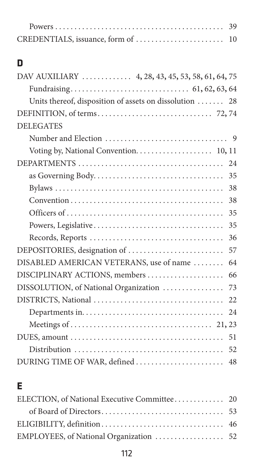## **D**

| DAV AUXILIARY  4, 28, 43, 45, 53, 58, 61, 64, 75                                            |
|---------------------------------------------------------------------------------------------|
|                                                                                             |
| Units thereof, disposition of assets on dissolution  28                                     |
|                                                                                             |
|                                                                                             |
| <b>DELEGATES</b>                                                                            |
|                                                                                             |
| Voting by, National Convention. 10, 11                                                      |
|                                                                                             |
|                                                                                             |
| 38                                                                                          |
| 38                                                                                          |
| 35                                                                                          |
| 35                                                                                          |
| 36                                                                                          |
| DEPOSITORIES, designation of<br>57                                                          |
| DISABLED AMERICAN VETERANS, use of name<br>64                                               |
| DISCIPLINARY ACTIONS, members<br>66                                                         |
| DISSOLUTION, of National Organization<br>73                                                 |
| 22                                                                                          |
|                                                                                             |
|                                                                                             |
| DUES, amount $\ldots \ldots \ldots \ldots \ldots \ldots \ldots \ldots \ldots \ldots \ldots$ |
|                                                                                             |
| DURING TIME OF WAR, defined  48                                                             |

## **E**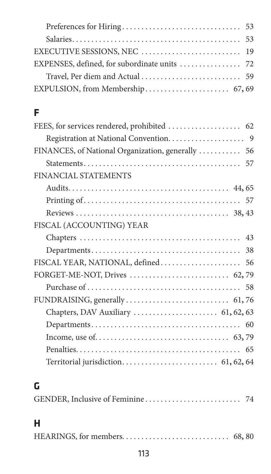## **F**

| FINANCIAL STATEMENTS                |
|-------------------------------------|
|                                     |
|                                     |
|                                     |
| FISCAL (ACCOUNTING) YEAR            |
|                                     |
|                                     |
|                                     |
| FORGET-ME-NOT, Drives  62,79        |
|                                     |
|                                     |
| Chapters, DAV Auxiliary  61, 62, 63 |
|                                     |
|                                     |
|                                     |
|                                     |
|                                     |

## **G**

## **H**

|--|--|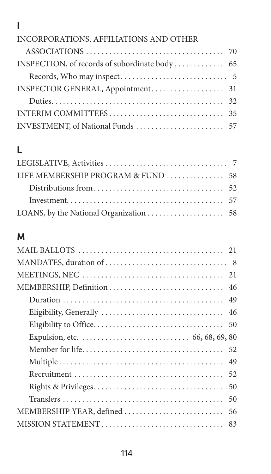## **I**

#### INCORPORATIONS, AFFILIATIONS AND OTHER

## **L**

| LIFE MEMBERSHIP PROGRAM & FUND 58 |  |
|-----------------------------------|--|
|                                   |  |
|                                   |  |
|                                   |  |

#### **M**

| 52                             |  |
|--------------------------------|--|
| 50                             |  |
| 50                             |  |
| MEMBERSHIP YEAR, defined<br>56 |  |
|                                |  |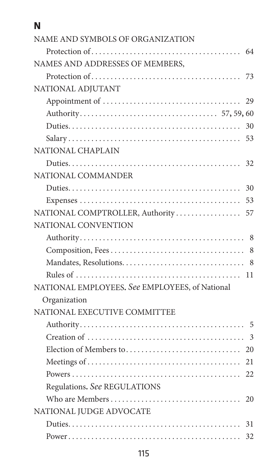## **N**

| NAME AND SYMBOLS OF ORGANIZATION               |
|------------------------------------------------|
|                                                |
| NAMES AND ADDRESSES OF MEMBERS.                |
| 73                                             |
| NATIONAL ADJUTANT                              |
| 29                                             |
|                                                |
| 30                                             |
| 53                                             |
| NATIONAL CHAPLAIN                              |
| 32                                             |
| NATIONAL COMMANDER                             |
| 30                                             |
| 53                                             |
| NATIONAL COMPTROLLER, Authority<br>57          |
| NATIONAL CONVENTION                            |
|                                                |
| 8                                              |
|                                                |
|                                                |
| NATIONAL EMPLOYEES. See EMPLOYEES, of National |
| Organization                                   |
| NATIONAL EXECUTIVE COMMITTEE                   |
|                                                |
| 3                                              |
|                                                |
|                                                |
|                                                |
| Regulations. See REGULATIONS                   |
|                                                |
| NATIONAL JUDGE ADVOCATE                        |
| 31                                             |
| 32                                             |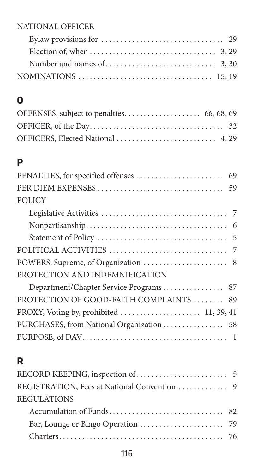#### NATIONAL OFFICER

| Election of, when $\dots \dots \dots \dots \dots \dots \dots \dots \dots \dots$ 3, 29 |  |
|---------------------------------------------------------------------------------------|--|
| Number and names of $\dots \dots \dots \dots \dots \dots \dots \dots$ 3, 30           |  |
|                                                                                       |  |

## **O**

#### **P**

## **R**

| REGULATIONS |  |
|-------------|--|
|             |  |
|             |  |
|             |  |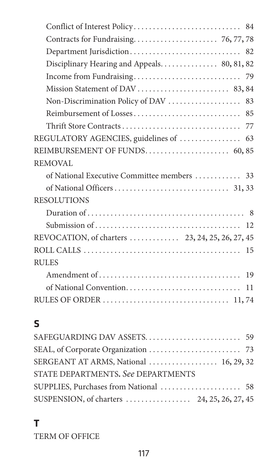| Disciplinary Hearing and Appeals 80, 81, 82 |
|---------------------------------------------|
|                                             |
|                                             |
|                                             |
|                                             |
|                                             |
|                                             |
|                                             |
| REMOVAL                                     |
| of National Executive Committee members  33 |
|                                             |
| <b>RESOLUTIONS</b>                          |
|                                             |
|                                             |
|                                             |
|                                             |
| <b>RULES</b>                                |
|                                             |
|                                             |
|                                             |
|                                             |
| ς                                           |

# **S**

| STATE DEPARTMENTS, See DEPARTMENTS |  |
|------------------------------------|--|
|                                    |  |
|                                    |  |

#### **T**

TERM OF OFFICE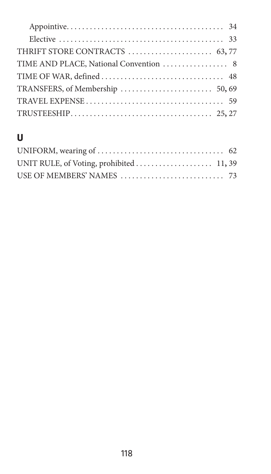## **U**

| UNIT RULE, of Voting, prohibited 11,39 |  |
|----------------------------------------|--|
|                                        |  |